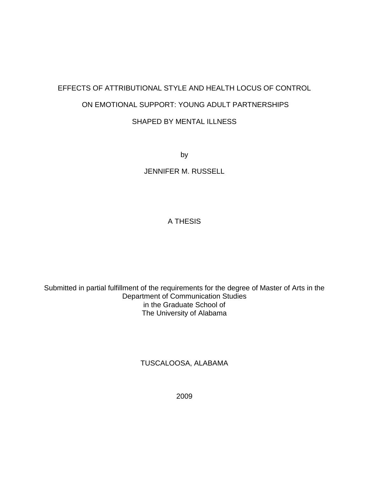# EFFECTS OF ATTRIBUTIONAL STYLE AND HEALTH LOCUS OF CONTROL ON EMOTIONAL SUPPORT: YOUNG ADULT PARTNERSHIPS SHAPED BY MENTAL ILLNESS

by

JENNIFER M. RUSSELL

## A THESIS

Submitted in partial fulfillment of the requirements for the degree of Master of Arts in the Department of Communication Studies in the Graduate School of The University of Alabama

TUSCALOOSA, ALABAMA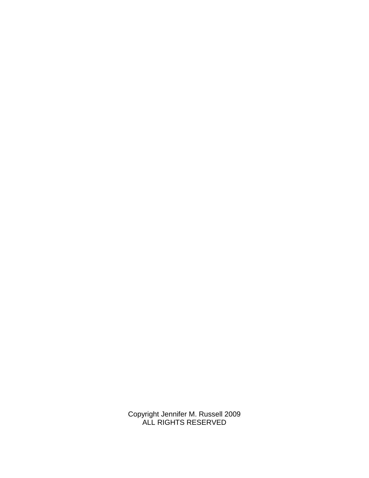Copyright Jennifer M. Russell 2009 ALL RIGHTS RESERVED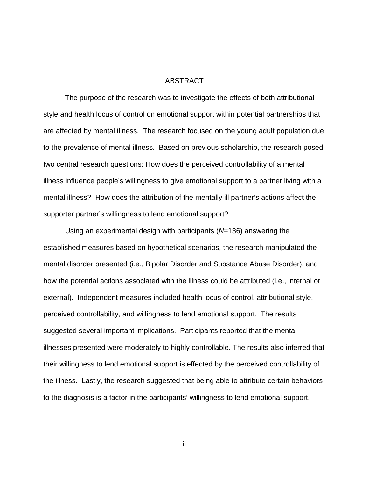#### ABSTRACT

 The purpose of the research was to investigate the effects of both attributional style and health locus of control on emotional support within potential partnerships that are affected by mental illness. The research focused on the young adult population due to the prevalence of mental illness. Based on previous scholarship, the research posed two central research questions: How does the perceived controllability of a mental illness influence people's willingness to give emotional support to a partner living with a mental illness? How does the attribution of the mentally ill partner's actions affect the supporter partner's willingness to lend emotional support?

Using an experimental design with participants  $(N=136)$  answering the established measures based on hypothetical scenarios, the research manipulated the mental disorder presented (i.e., Bipolar Disorder and Substance Abuse Disorder), and how the potential actions associated with the illness could be attributed (i.e., internal or external). Independent measures included health locus of control, attributional style, perceived controllability, and willingness to lend emotional support. The results suggested several important implications. Participants reported that the mental illnesses presented were moderately to highly controllable. The results also inferred that their willingness to lend emotional support is effected by the perceived controllability of the illness. Lastly, the research suggested that being able to attribute certain behaviors to the diagnosis is a factor in the participants' willingness to lend emotional support.

ii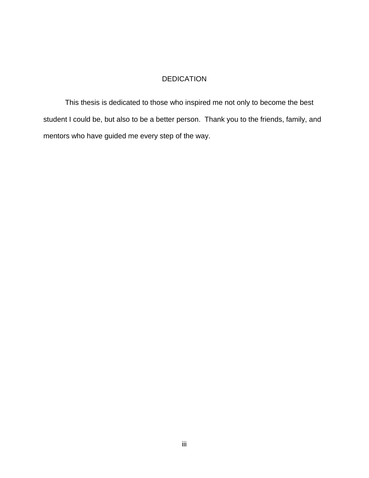### DEDICATION

 This thesis is dedicated to those who inspired me not only to become the best student I could be, but also to be a better person. Thank you to the friends, family, and mentors who have guided me every step of the way.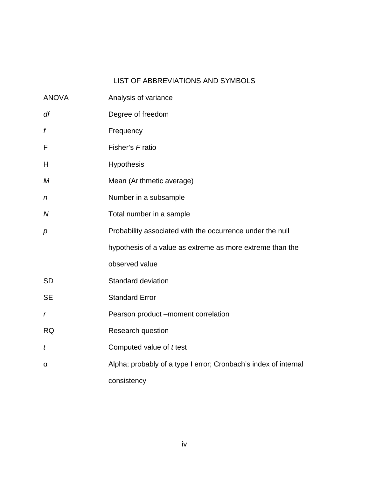# LIST OF ABBREVIATIONS AND SYMBOLS

| <b>ANOVA</b>     | Analysis of variance                                            |
|------------------|-----------------------------------------------------------------|
| df               | Degree of freedom                                               |
| f                | Frequency                                                       |
| F                | Fisher's Fratio                                                 |
| H                | <b>Hypothesis</b>                                               |
| M                | Mean (Arithmetic average)                                       |
| $\boldsymbol{n}$ | Number in a subsample                                           |
| N                | Total number in a sample                                        |
| $\boldsymbol{p}$ | Probability associated with the occurrence under the null       |
|                  | hypothesis of a value as extreme as more extreme than the       |
|                  | observed value                                                  |
| <b>SD</b>        | <b>Standard deviation</b>                                       |
| <b>SE</b>        | <b>Standard Error</b>                                           |
| r                | Pearson product -moment correlation                             |
| <b>RQ</b>        | Research question                                               |
| t                | Computed value of <i>t</i> test                                 |
| α                | Alpha; probably of a type I error; Cronbach's index of internal |
|                  | consistency                                                     |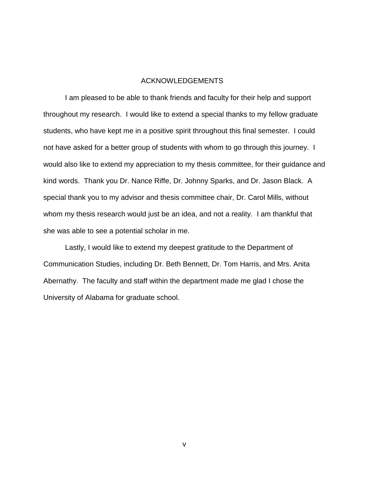### ACKNOWLEDGEMENTS

 I am pleased to be able to thank friends and faculty for their help and support throughout my research. I would like to extend a special thanks to my fellow graduate students, who have kept me in a positive spirit throughout this final semester. I could not have asked for a better group of students with whom to go through this journey. I would also like to extend my appreciation to my thesis committee, for their guidance and kind words. Thank you Dr. Nance Riffe, Dr. Johnny Sparks, and Dr. Jason Black. A special thank you to my advisor and thesis committee chair, Dr. Carol Mills, without whom my thesis research would just be an idea, and not a reality. I am thankful that she was able to see a potential scholar in me.

 Lastly, I would like to extend my deepest gratitude to the Department of Communication Studies, including Dr. Beth Bennett, Dr. Tom Harris, and Mrs. Anita Abernathy. The faculty and staff within the department made me glad I chose the University of Alabama for graduate school.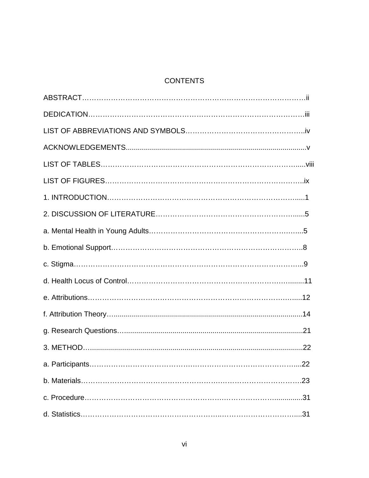# **CONTENTS**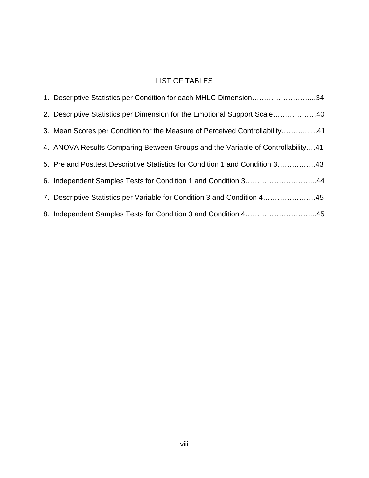# LIST OF TABLES

| 1. Descriptive Statistics per Condition for each MHLC Dimension34               |
|---------------------------------------------------------------------------------|
| 2. Descriptive Statistics per Dimension for the Emotional Support Scale40       |
| 3. Mean Scores per Condition for the Measure of Perceived Controllability41     |
| 4. ANOVA Results Comparing Between Groups and the Variable of Controllability41 |
| 5. Pre and Posttest Descriptive Statistics for Condition 1 and Condition 343    |
| 6. Independent Samples Tests for Condition 1 and Condition 344                  |
| 7. Descriptive Statistics per Variable for Condition 3 and Condition 445        |
| 8. Independent Samples Tests for Condition 3 and Condition 445                  |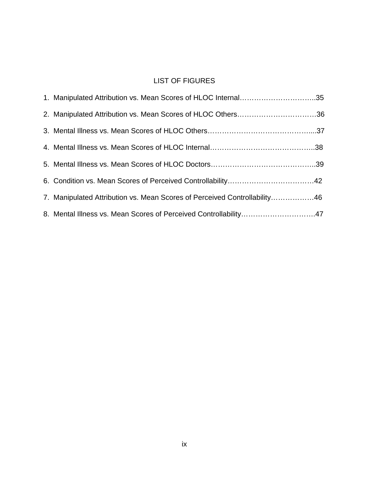# LIST OF FIGURES

| 1. Manipulated Attribution vs. Mean Scores of HLOC Internal35             |  |
|---------------------------------------------------------------------------|--|
| 2. Manipulated Attribution vs. Mean Scores of HLOC Others36               |  |
|                                                                           |  |
|                                                                           |  |
|                                                                           |  |
|                                                                           |  |
| 7. Manipulated Attribution vs. Mean Scores of Perceived Controllability46 |  |
|                                                                           |  |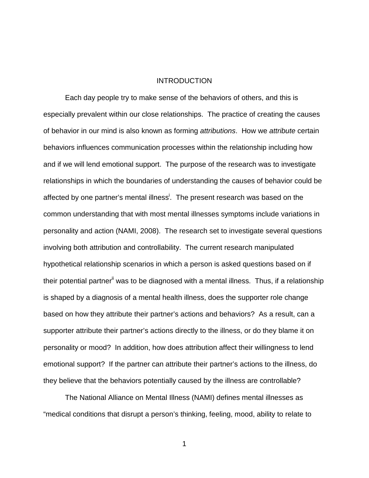#### **INTRODUCTION**

 Each day people try to make sense of the behaviors of others, and this is especially prevalent within our close relationships. The practice of creating the causes of behavior in our mind is also known as forming *attributions*. How we attribute certain behaviors influences communication processes within the relationship including how and if we will lend emotional support. The purpose of the research was to investigate relationships in which the boundaries of understanding the causes of behavior could be affected by one partner's mental illness<sup>i</sup>. The present research was based on the common understanding that with most mental illnesses symptoms include variations in personality and action (NAMI, 2008). The research set to investigate several questions involving both attribution and controllability. The current research manipulated hypothetical relationship scenarios in which a person is asked questions based on if their potential partner<sup>ii</sup> was to be diagnosed with a mental illness. Thus, if a relationship is shaped by a diagnosis of a mental health illness, does the supporter role change based on how they attribute their partner's actions and behaviors? As a result, can a supporter attribute their partner's actions directly to the illness, or do they blame it on personality or mood? In addition, how does attribution affect their willingness to lend emotional support? If the partner can attribute their partner's actions to the illness, do they believe that the behaviors potentially caused by the illness are controllable?

 The National Alliance on Mental Illness (NAMI) defines mental illnesses as "medical conditions that disrupt a person's thinking, feeling, mood, ability to relate to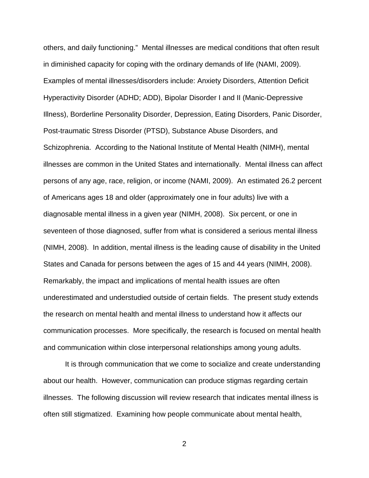others, and daily functioning." Mental illnesses are medical conditions that often result in diminished capacity for coping with the ordinary demands of life (NAMI, 2009). Examples of mental illnesses/disorders include: Anxiety Disorders, Attention Deficit Hyperactivity Disorder (ADHD; ADD), Bipolar Disorder I and II (Manic-Depressive Illness), Borderline Personality Disorder, Depression, Eating Disorders, Panic Disorder, Post-traumatic Stress Disorder (PTSD), Substance Abuse Disorders, and Schizophrenia. According to the National Institute of Mental Health (NIMH), mental illnesses are common in the United States and internationally. Mental illness can affect persons of any age, race, religion, or income (NAMI, 2009). An estimated 26.2 percent of Americans ages 18 and older (approximately one in four adults) live with a diagnosable mental illness in a given year (NIMH, 2008). Six percent, or one in seventeen of those diagnosed, suffer from what is considered a serious mental illness (NIMH, 2008). In addition, mental illness is the leading cause of disability in the United States and Canada for persons between the ages of 15 and 44 years (NIMH, 2008). Remarkably, the impact and implications of mental health issues are often underestimated and understudied outside of certain fields. The present study extends the research on mental health and mental illness to understand how it affects our communication processes. More specifically, the research is focused on mental health and communication within close interpersonal relationships among young adults.

 It is through communication that we come to socialize and create understanding about our health. However, communication can produce stigmas regarding certain illnesses. The following discussion will review research that indicates mental illness is often still stigmatized. Examining how people communicate about mental health,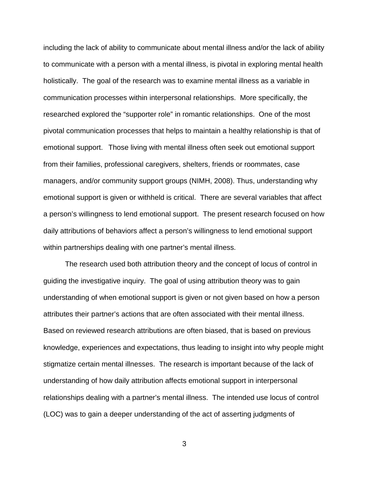including the lack of ability to communicate about mental illness and/or the lack of ability to communicate with a person with a mental illness, is pivotal in exploring mental health holistically. The goal of the research was to examine mental illness as a variable in communication processes within interpersonal relationships. More specifically, the researched explored the "supporter role" in romantic relationships. One of the most pivotal communication processes that helps to maintain a healthy relationship is that of emotional support. Those living with mental illness often seek out emotional support from their families, professional caregivers, shelters, friends or roommates, case managers, and/or community support groups (NIMH, 2008). Thus, understanding why emotional support is given or withheld is critical. There are several variables that affect a person's willingness to lend emotional support. The present research focused on how daily attributions of behaviors affect a person's willingness to lend emotional support within partnerships dealing with one partner's mental illness.

 The research used both attribution theory and the concept of locus of control in guiding the investigative inquiry. The goal of using attribution theory was to gain understanding of when emotional support is given or not given based on how a person attributes their partner's actions that are often associated with their mental illness. Based on reviewed research attributions are often biased, that is based on previous knowledge, experiences and expectations, thus leading to insight into why people might stigmatize certain mental illnesses. The research is important because of the lack of understanding of how daily attribution affects emotional support in interpersonal relationships dealing with a partner's mental illness. The intended use locus of control (LOC) was to gain a deeper understanding of the act of asserting judgments of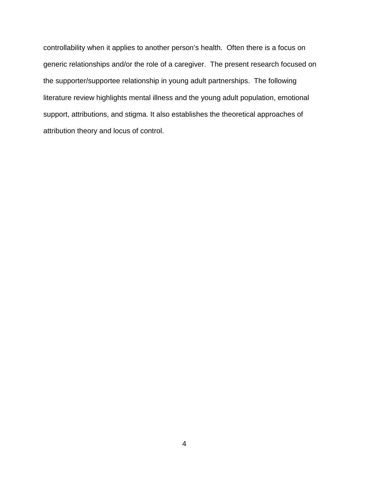controllability when it applies to another person's health. Often there is a focus on generic relationships and/or the role of a caregiver. The present research focused on the supporter/supportee relationship in young adult partnerships. The following literature review highlights mental illness and the young adult population, emotional support, attributions, and stigma. It also establishes the theoretical approaches of attribution theory and locus of control.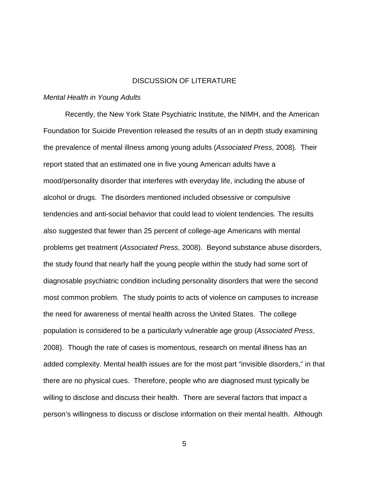### DISCUSSION OF LITERATURE

#### Mental Health in Young Adults

 Recently, the New York State Psychiatric Institute, the NIMH, and the American Foundation for Suicide Prevention released the results of an in depth study examining the prevalence of mental illness among young adults (Associated Press, 2008). Their report stated that an estimated one in five young American adults have a mood/personality disorder that interferes with everyday life, including the abuse of alcohol or drugs. The disorders mentioned included obsessive or compulsive tendencies and anti-social behavior that could lead to violent tendencies. The results also suggested that fewer than 25 percent of college-age Americans with mental problems get treatment (Associated Press, 2008). Beyond substance abuse disorders, the study found that nearly half the young people within the study had some sort of diagnosable psychiatric condition including personality disorders that were the second most common problem. The study points to acts of violence on campuses to increase the need for awareness of mental health across the United States. The college population is considered to be a particularly vulnerable age group (Associated Press, 2008). Though the rate of cases is momentous, research on mental illness has an added complexity. Mental health issues are for the most part "invisible disorders," in that there are no physical cues. Therefore, people who are diagnosed must typically be willing to disclose and discuss their health. There are several factors that impact a person's willingness to discuss or disclose information on their mental health. Although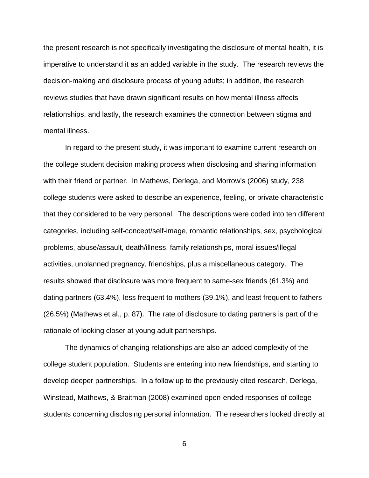the present research is not specifically investigating the disclosure of mental health, it is imperative to understand it as an added variable in the study. The research reviews the decision-making and disclosure process of young adults; in addition, the research reviews studies that have drawn significant results on how mental illness affects relationships, and lastly, the research examines the connection between stigma and mental illness.

In regard to the present study, it was important to examine current research on the college student decision making process when disclosing and sharing information with their friend or partner. In Mathews, Derlega, and Morrow's (2006) study, 238 college students were asked to describe an experience, feeling, or private characteristic that they considered to be very personal. The descriptions were coded into ten different categories, including self-concept/self-image, romantic relationships, sex, psychological problems, abuse/assault, death/illness, family relationships, moral issues/illegal activities, unplanned pregnancy, friendships, plus a miscellaneous category. The results showed that disclosure was more frequent to same-sex friends (61.3%) and dating partners (63.4%), less frequent to mothers (39.1%), and least frequent to fathers (26.5%) (Mathews et al., p. 87). The rate of disclosure to dating partners is part of the rationale of looking closer at young adult partnerships.

The dynamics of changing relationships are also an added complexity of the college student population. Students are entering into new friendships, and starting to develop deeper partnerships. In a follow up to the previously cited research, Derlega, Winstead, Mathews, & Braitman (2008) examined open-ended responses of college students concerning disclosing personal information. The researchers looked directly at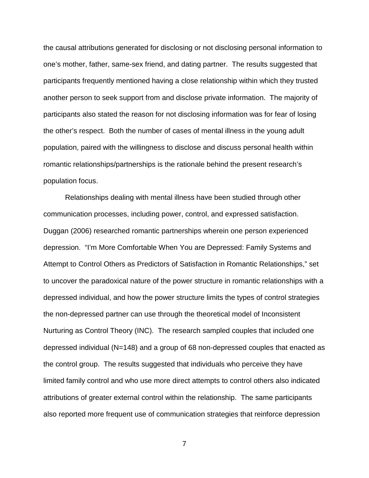the causal attributions generated for disclosing or not disclosing personal information to one's mother, father, same-sex friend, and dating partner. The results suggested that participants frequently mentioned having a close relationship within which they trusted another person to seek support from and disclose private information. The majority of participants also stated the reason for not disclosing information was for fear of losing the other's respect. Both the number of cases of mental illness in the young adult population, paired with the willingness to disclose and discuss personal health within romantic relationships/partnerships is the rationale behind the present research's population focus.

Relationships dealing with mental illness have been studied through other communication processes, including power, control, and expressed satisfaction. Duggan (2006) researched romantic partnerships wherein one person experienced depression. "I'm More Comfortable When You are Depressed: Family Systems and Attempt to Control Others as Predictors of Satisfaction in Romantic Relationships," set to uncover the paradoxical nature of the power structure in romantic relationships with a depressed individual, and how the power structure limits the types of control strategies the non-depressed partner can use through the theoretical model of Inconsistent Nurturing as Control Theory (INC). The research sampled couples that included one depressed individual (N=148) and a group of 68 non-depressed couples that enacted as the control group. The results suggested that individuals who perceive they have limited family control and who use more direct attempts to control others also indicated attributions of greater external control within the relationship. The same participants also reported more frequent use of communication strategies that reinforce depression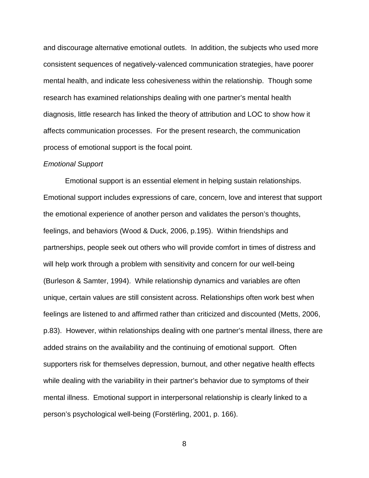and discourage alternative emotional outlets. In addition, the subjects who used more consistent sequences of negatively-valenced communication strategies, have poorer mental health, and indicate less cohesiveness within the relationship. Though some research has examined relationships dealing with one partner's mental health diagnosis, little research has linked the theory of attribution and LOC to show how it affects communication processes. For the present research, the communication process of emotional support is the focal point.

#### Emotional Support

 Emotional support is an essential element in helping sustain relationships. Emotional support includes expressions of care, concern, love and interest that support the emotional experience of another person and validates the person's thoughts, feelings, and behaviors (Wood & Duck, 2006, p.195). Within friendships and partnerships, people seek out others who will provide comfort in times of distress and will help work through a problem with sensitivity and concern for our well-being (Burleson & Samter, 1994). While relationship dynamics and variables are often unique, certain values are still consistent across. Relationships often work best when feelings are listened to and affirmed rather than criticized and discounted (Metts, 2006, p.83). However, within relationships dealing with one partner's mental illness, there are added strains on the availability and the continuing of emotional support. Often supporters risk for themselves depression, burnout, and other negative health effects while dealing with the variability in their partner's behavior due to symptoms of their mental illness. Emotional support in interpersonal relationship is clearly linked to a person's psychological well-being (Forstërling, 2001, p. 166).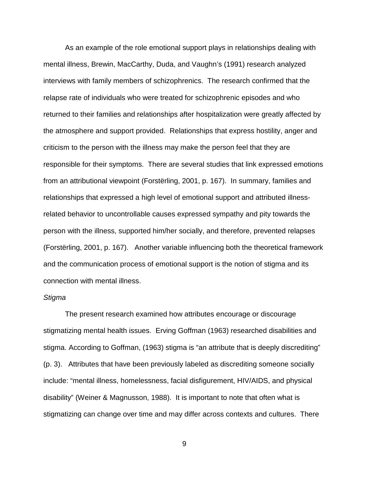As an example of the role emotional support plays in relationships dealing with mental illness, Brewin, MacCarthy, Duda, and Vaughn's (1991) research analyzed interviews with family members of schizophrenics. The research confirmed that the relapse rate of individuals who were treated for schizophrenic episodes and who returned to their families and relationships after hospitalization were greatly affected by the atmosphere and support provided. Relationships that express hostility, anger and criticism to the person with the illness may make the person feel that they are responsible for their symptoms. There are several studies that link expressed emotions from an attributional viewpoint (Forstërling, 2001, p. 167). In summary, families and relationships that expressed a high level of emotional support and attributed illnessrelated behavior to uncontrollable causes expressed sympathy and pity towards the person with the illness, supported him/her socially, and therefore, prevented relapses (Forstërling, 2001, p. 167). Another variable influencing both the theoretical framework and the communication process of emotional support is the notion of stigma and its connection with mental illness.

#### Stigma

 The present research examined how attributes encourage or discourage stigmatizing mental health issues. Erving Goffman (1963) researched disabilities and stigma. According to Goffman, (1963) stigma is "an attribute that is deeply discrediting" (p. 3). Attributes that have been previously labeled as discrediting someone socially include: "mental illness, homelessness, facial disfigurement, HIV/AIDS, and physical disability" (Weiner & Magnusson, 1988). It is important to note that often what is stigmatizing can change over time and may differ across contexts and cultures. There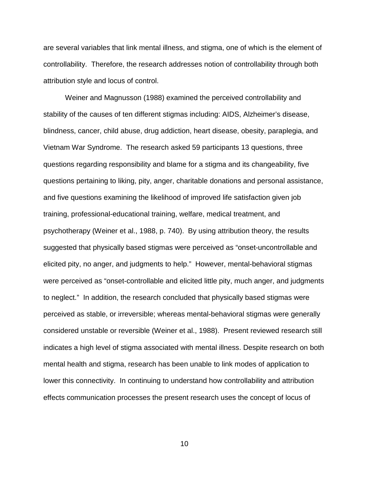are several variables that link mental illness, and stigma, one of which is the element of controllability. Therefore, the research addresses notion of controllability through both attribution style and locus of control.

 Weiner and Magnusson (1988) examined the perceived controllability and stability of the causes of ten different stigmas including: AIDS, Alzheimer's disease, blindness, cancer, child abuse, drug addiction, heart disease, obesity, paraplegia, and Vietnam War Syndrome. The research asked 59 participants 13 questions, three questions regarding responsibility and blame for a stigma and its changeability, five questions pertaining to liking, pity, anger, charitable donations and personal assistance, and five questions examining the likelihood of improved life satisfaction given job training, professional-educational training, welfare, medical treatment, and psychotherapy (Weiner et al., 1988, p. 740). By using attribution theory, the results suggested that physically based stigmas were perceived as "onset-uncontrollable and elicited pity, no anger, and judgments to help." However, mental-behavioral stigmas were perceived as "onset-controllable and elicited little pity, much anger, and judgments to neglect." In addition, the research concluded that physically based stigmas were perceived as stable, or irreversible; whereas mental-behavioral stigmas were generally considered unstable or reversible (Weiner et al., 1988). Present reviewed research still indicates a high level of stigma associated with mental illness. Despite research on both mental health and stigma, research has been unable to link modes of application to lower this connectivity. In continuing to understand how controllability and attribution effects communication processes the present research uses the concept of locus of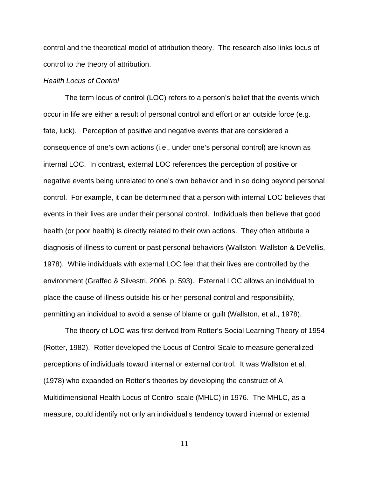control and the theoretical model of attribution theory. The research also links locus of control to the theory of attribution.

### Health Locus of Control

 The term locus of control (LOC) refers to a person's belief that the events which occur in life are either a result of personal control and effort or an outside force (e.g. fate, luck). Perception of positive and negative events that are considered a consequence of one's own actions (i.e., under one's personal control) are known as internal LOC. In contrast, external LOC references the perception of positive or negative events being unrelated to one's own behavior and in so doing beyond personal control. For example, it can be determined that a person with internal LOC believes that events in their lives are under their personal control. Individuals then believe that good health (or poor health) is directly related to their own actions. They often attribute a diagnosis of illness to current or past personal behaviors (Wallston, Wallston & DeVellis, 1978). While individuals with external LOC feel that their lives are controlled by the environment (Graffeo & Silvestri, 2006, p. 593). External LOC allows an individual to place the cause of illness outside his or her personal control and responsibility, permitting an individual to avoid a sense of blame or guilt (Wallston, et al., 1978).

 The theory of LOC was first derived from Rotter's Social Learning Theory of 1954 (Rotter, 1982). Rotter developed the Locus of Control Scale to measure generalized perceptions of individuals toward internal or external control. It was Wallston et al. (1978) who expanded on Rotter's theories by developing the construct of A Multidimensional Health Locus of Control scale (MHLC) in 1976. The MHLC, as a measure, could identify not only an individual's tendency toward internal or external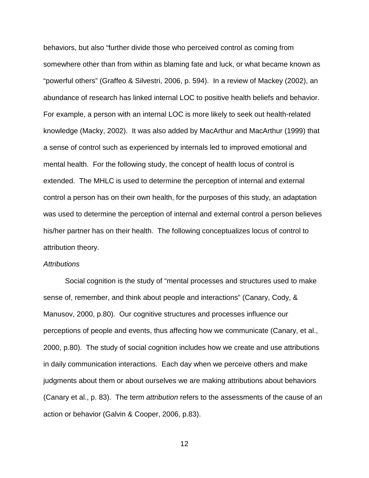behaviors, but also "further divide those who perceived control as coming from somewhere other than from within as blaming fate and luck, or what became known as "powerful others" (Graffeo & Silvestri, 2006, p. 594). In a review of Mackey (2002), an abundance of research has linked internal LOC to positive health beliefs and behavior. For example, a person with an internal LOC is more likely to seek out health-related knowledge (Macky, 2002). It was also added by MacArthur and MacArthur (1999) that a sense of control such as experienced by internals led to improved emotional and mental health. For the following study, the concept of health locus of control is extended. The MHLC is used to determine the perception of internal and external control a person has on their own health, for the purposes of this study, an adaptation was used to determine the perception of internal and external control a person believes his/her partner has on their health. The following conceptualizes locus of control to attribution theory.

#### **Attributions**

 Social cognition is the study of "mental processes and structures used to make sense of, remember, and think about people and interactions" (Canary, Cody, & Manusov, 2000, p.80). Our cognitive structures and processes influence our perceptions of people and events, thus affecting how we communicate (Canary, et al., 2000, p.80). The study of social cognition includes how we create and use attributions in daily communication interactions. Each day when we perceive others and make judgments about them or about ourselves we are making attributions about behaviors (Canary et al., p. 83). The term attribution refers to the assessments of the cause of an action or behavior (Galvin & Cooper, 2006, p.83).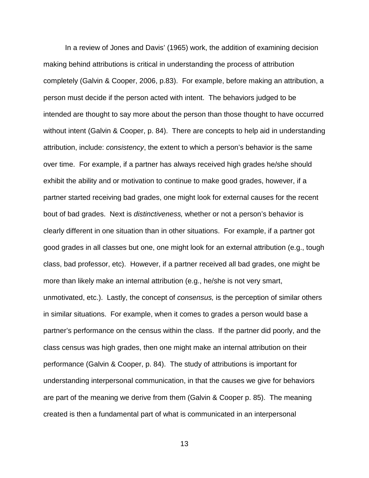In a review of Jones and Davis' (1965) work, the addition of examining decision making behind attributions is critical in understanding the process of attribution completely (Galvin & Cooper, 2006, p.83). For example, before making an attribution, a person must decide if the person acted with intent. The behaviors judged to be intended are thought to say more about the person than those thought to have occurred without intent (Galvin & Cooper, p. 84). There are concepts to help aid in understanding attribution, include: consistency, the extent to which a person's behavior is the same over time. For example, if a partner has always received high grades he/she should exhibit the ability and or motivation to continue to make good grades, however, if a partner started receiving bad grades, one might look for external causes for the recent bout of bad grades. Next is distinctiveness, whether or not a person's behavior is clearly different in one situation than in other situations. For example, if a partner got good grades in all classes but one, one might look for an external attribution (e.g., tough class, bad professor, etc). However, if a partner received all bad grades, one might be more than likely make an internal attribution (e.g., he/she is not very smart, unmotivated, etc.). Lastly, the concept of consensus, is the perception of similar others in similar situations. For example, when it comes to grades a person would base a partner's performance on the census within the class. If the partner did poorly, and the class census was high grades, then one might make an internal attribution on their performance (Galvin & Cooper, p. 84). The study of attributions is important for understanding interpersonal communication, in that the causes we give for behaviors are part of the meaning we derive from them (Galvin & Cooper p. 85). The meaning created is then a fundamental part of what is communicated in an interpersonal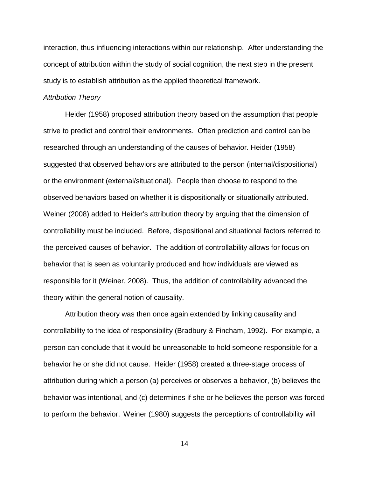interaction, thus influencing interactions within our relationship. After understanding the concept of attribution within the study of social cognition, the next step in the present study is to establish attribution as the applied theoretical framework.

#### Attribution Theory

 Heider (1958) proposed attribution theory based on the assumption that people strive to predict and control their environments. Often prediction and control can be researched through an understanding of the causes of behavior. Heider (1958) suggested that observed behaviors are attributed to the person (internal/dispositional) or the environment (external/situational). People then choose to respond to the observed behaviors based on whether it is dispositionally or situationally attributed. Weiner (2008) added to Heider's attribution theory by arguing that the dimension of controllability must be included. Before, dispositional and situational factors referred to the perceived causes of behavior. The addition of controllability allows for focus on behavior that is seen as voluntarily produced and how individuals are viewed as responsible for it (Weiner, 2008). Thus, the addition of controllability advanced the theory within the general notion of causality.

 Attribution theory was then once again extended by linking causality and controllability to the idea of responsibility (Bradbury & Fincham, 1992). For example, a person can conclude that it would be unreasonable to hold someone responsible for a behavior he or she did not cause. Heider (1958) created a three-stage process of attribution during which a person (a) perceives or observes a behavior, (b) believes the behavior was intentional, and (c) determines if she or he believes the person was forced to perform the behavior. Weiner (1980) suggests the perceptions of controllability will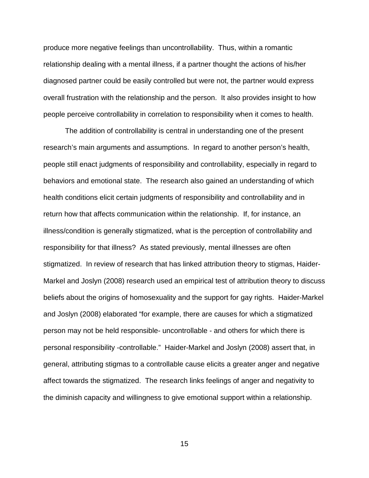produce more negative feelings than uncontrollability. Thus, within a romantic relationship dealing with a mental illness, if a partner thought the actions of his/her diagnosed partner could be easily controlled but were not, the partner would express overall frustration with the relationship and the person. It also provides insight to how people perceive controllability in correlation to responsibility when it comes to health.

 The addition of controllability is central in understanding one of the present research's main arguments and assumptions. In regard to another person's health, people still enact judgments of responsibility and controllability, especially in regard to behaviors and emotional state. The research also gained an understanding of which health conditions elicit certain judgments of responsibility and controllability and in return how that affects communication within the relationship. If, for instance, an illness/condition is generally stigmatized, what is the perception of controllability and responsibility for that illness? As stated previously, mental illnesses are often stigmatized. In review of research that has linked attribution theory to stigmas, Haider-Markel and Joslyn (2008) research used an empirical test of attribution theory to discuss beliefs about the origins of homosexuality and the support for gay rights. Haider-Markel and Joslyn (2008) elaborated "for example, there are causes for which a stigmatized person may not be held responsible- uncontrollable - and others for which there is personal responsibility -controllable." Haider-Markel and Joslyn (2008) assert that, in general, attributing stigmas to a controllable cause elicits a greater anger and negative affect towards the stigmatized. The research links feelings of anger and negativity to the diminish capacity and willingness to give emotional support within a relationship.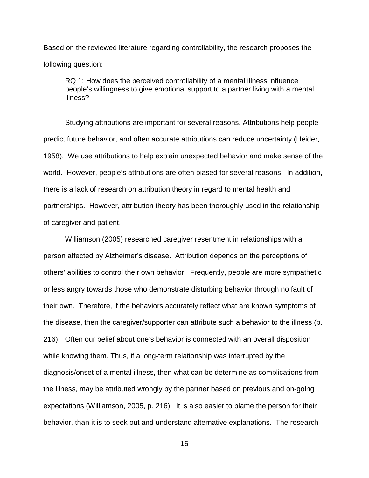Based on the reviewed literature regarding controllability, the research proposes the following question:

 RQ 1: How does the perceived controllability of a mental illness influence people's willingness to give emotional support to a partner living with a mental illness?

 Studying attributions are important for several reasons. Attributions help people predict future behavior, and often accurate attributions can reduce uncertainty (Heider, 1958). We use attributions to help explain unexpected behavior and make sense of the world. However, people's attributions are often biased for several reasons. In addition, there is a lack of research on attribution theory in regard to mental health and partnerships. However, attribution theory has been thoroughly used in the relationship of caregiver and patient.

 Williamson (2005) researched caregiver resentment in relationships with a person affected by Alzheimer's disease. Attribution depends on the perceptions of others' abilities to control their own behavior. Frequently, people are more sympathetic or less angry towards those who demonstrate disturbing behavior through no fault of their own. Therefore, if the behaviors accurately reflect what are known symptoms of the disease, then the caregiver/supporter can attribute such a behavior to the illness (p. 216). Often our belief about one's behavior is connected with an overall disposition while knowing them. Thus, if a long-term relationship was interrupted by the diagnosis/onset of a mental illness, then what can be determine as complications from the illness, may be attributed wrongly by the partner based on previous and on-going expectations (Williamson, 2005, p. 216). It is also easier to blame the person for their behavior, than it is to seek out and understand alternative explanations. The research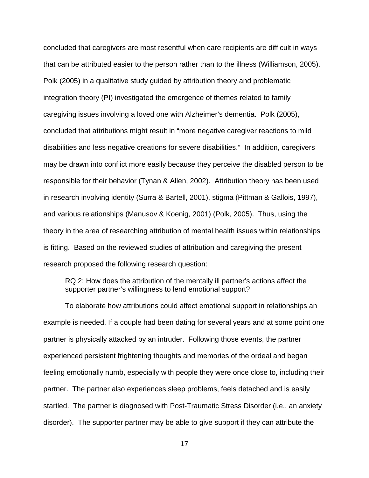concluded that caregivers are most resentful when care recipients are difficult in ways that can be attributed easier to the person rather than to the illness (Williamson, 2005). Polk (2005) in a qualitative study guided by attribution theory and problematic integration theory (PI) investigated the emergence of themes related to family caregiving issues involving a loved one with Alzheimer's dementia. Polk (2005), concluded that attributions might result in "more negative caregiver reactions to mild disabilities and less negative creations for severe disabilities." In addition, caregivers may be drawn into conflict more easily because they perceive the disabled person to be responsible for their behavior (Tynan & Allen, 2002). Attribution theory has been used in research involving identity (Surra & Bartell, 2001), stigma (Pittman & Gallois, 1997), and various relationships (Manusov & Koenig, 2001) (Polk, 2005). Thus, using the theory in the area of researching attribution of mental health issues within relationships is fitting. Based on the reviewed studies of attribution and caregiving the present research proposed the following research question:

 RQ 2: How does the attribution of the mentally ill partner's actions affect the supporter partner's willingness to lend emotional support?

 To elaborate how attributions could affect emotional support in relationships an example is needed. If a couple had been dating for several years and at some point one partner is physically attacked by an intruder. Following those events, the partner experienced persistent frightening thoughts and memories of the ordeal and began feeling emotionally numb, especially with people they were once close to, including their partner. The partner also experiences sleep problems, feels detached and is easily startled. The partner is diagnosed with Post-Traumatic Stress Disorder (i.e., an anxiety disorder). The supporter partner may be able to give support if they can attribute the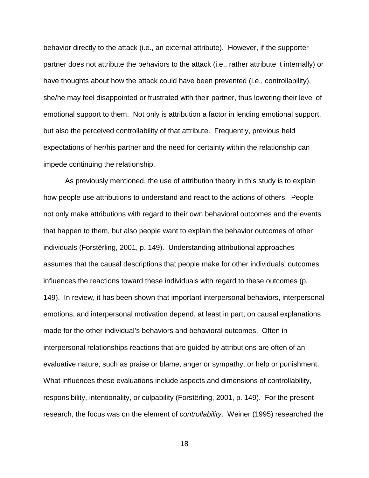behavior directly to the attack (i.e., an external attribute). However, if the supporter partner does not attribute the behaviors to the attack (i.e., rather attribute it internally) or have thoughts about how the attack could have been prevented (i.e., controllability), she/he may feel disappointed or frustrated with their partner, thus lowering their level of emotional support to them. Not only is attribution a factor in lending emotional support, but also the perceived controllability of that attribute. Frequently, previous held expectations of her/his partner and the need for certainty within the relationship can impede continuing the relationship.

 As previously mentioned, the use of attribution theory in this study is to explain how people use attributions to understand and react to the actions of others. People not only make attributions with regard to their own behavioral outcomes and the events that happen to them, but also people want to explain the behavior outcomes of other individuals (Forstërling, 2001, p. 149). Understanding attributional approaches assumes that the causal descriptions that people make for other individuals' outcomes influences the reactions toward these individuals with regard to these outcomes (p. 149). In review, it has been shown that important interpersonal behaviors, interpersonal emotions, and interpersonal motivation depend, at least in part, on causal explanations made for the other individual's behaviors and behavioral outcomes. Often in interpersonal relationships reactions that are guided by attributions are often of an evaluative nature, such as praise or blame, anger or sympathy, or help or punishment. What influences these evaluations include aspects and dimensions of controllability, responsibility, intentionality, or culpability (Forstërling, 2001, p. 149). For the present research, the focus was on the element of controllability. Weiner (1995) researched the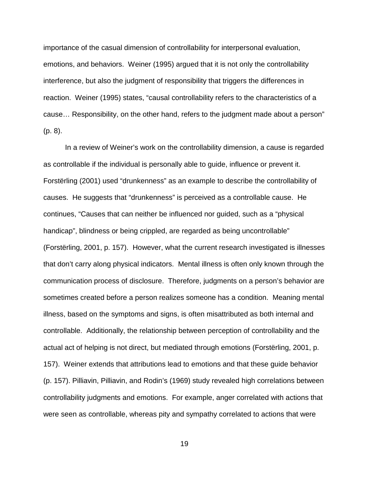importance of the casual dimension of controllability for interpersonal evaluation, emotions, and behaviors. Weiner (1995) argued that it is not only the controllability interference, but also the judgment of responsibility that triggers the differences in reaction. Weiner (1995) states, "causal controllability refers to the characteristics of a cause… Responsibility, on the other hand, refers to the judgment made about a person" (p. 8).

 In a review of Weiner's work on the controllability dimension, a cause is regarded as controllable if the individual is personally able to guide, influence or prevent it. Forstërling (2001) used "drunkenness" as an example to describe the controllability of causes. He suggests that "drunkenness" is perceived as a controllable cause. He continues, "Causes that can neither be influenced nor guided, such as a "physical handicap", blindness or being crippled, are regarded as being uncontrollable" (Forstërling, 2001, p. 157). However, what the current research investigated is illnesses that don't carry along physical indicators. Mental illness is often only known through the communication process of disclosure. Therefore, judgments on a person's behavior are sometimes created before a person realizes someone has a condition. Meaning mental illness, based on the symptoms and signs, is often misattributed as both internal and controllable. Additionally, the relationship between perception of controllability and the actual act of helping is not direct, but mediated through emotions (Forstërling, 2001, p. 157). Weiner extends that attributions lead to emotions and that these guide behavior (p. 157). Pilliavin, Pilliavin, and Rodin's (1969) study revealed high correlations between controllability judgments and emotions. For example, anger correlated with actions that were seen as controllable, whereas pity and sympathy correlated to actions that were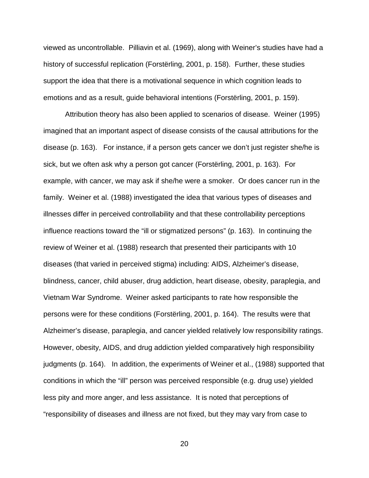viewed as uncontrollable. Pilliavin et al. (1969), along with Weiner's studies have had a history of successful replication (Forstërling, 2001, p. 158). Further, these studies support the idea that there is a motivational sequence in which cognition leads to emotions and as a result, guide behavioral intentions (Forstërling, 2001, p. 159).

 Attribution theory has also been applied to scenarios of disease. Weiner (1995) imagined that an important aspect of disease consists of the causal attributions for the disease (p. 163). For instance, if a person gets cancer we don't just register she/he is sick, but we often ask why a person got cancer (Forstërling, 2001, p. 163). For example, with cancer, we may ask if she/he were a smoker. Or does cancer run in the family. Weiner et al. (1988) investigated the idea that various types of diseases and illnesses differ in perceived controllability and that these controllability perceptions influence reactions toward the "ill or stigmatized persons" (p. 163). In continuing the review of Weiner et al. (1988) research that presented their participants with 10 diseases (that varied in perceived stigma) including: AIDS, Alzheimer's disease, blindness, cancer, child abuser, drug addiction, heart disease, obesity, paraplegia, and Vietnam War Syndrome. Weiner asked participants to rate how responsible the persons were for these conditions (Forstërling, 2001, p. 164). The results were that Alzheimer's disease, paraplegia, and cancer yielded relatively low responsibility ratings. However, obesity, AIDS, and drug addiction yielded comparatively high responsibility judgments (p. 164). In addition, the experiments of Weiner et al., (1988) supported that conditions in which the "ill" person was perceived responsible (e.g. drug use) yielded less pity and more anger, and less assistance. It is noted that perceptions of "responsibility of diseases and illness are not fixed, but they may vary from case to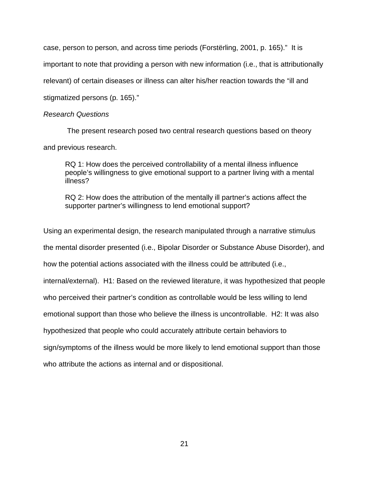case, person to person, and across time periods (Forstërling, 2001, p. 165)." It is important to note that providing a person with new information (i.e., that is attributionally relevant) of certain diseases or illness can alter his/her reaction towards the "ill and stigmatized persons (p. 165)."

### Research Questions

 The present research posed two central research questions based on theory and previous research.

 RQ 1: How does the perceived controllability of a mental illness influence people's willingness to give emotional support to a partner living with a mental illness?

 RQ 2: How does the attribution of the mentally ill partner's actions affect the supporter partner's willingness to lend emotional support?

Using an experimental design, the research manipulated through a narrative stimulus the mental disorder presented (i.e., Bipolar Disorder or Substance Abuse Disorder), and how the potential actions associated with the illness could be attributed (i.e., internal/external). H1: Based on the reviewed literature, it was hypothesized that people who perceived their partner's condition as controllable would be less willing to lend emotional support than those who believe the illness is uncontrollable. H2: It was also hypothesized that people who could accurately attribute certain behaviors to sign/symptoms of the illness would be more likely to lend emotional support than those who attribute the actions as internal and or dispositional.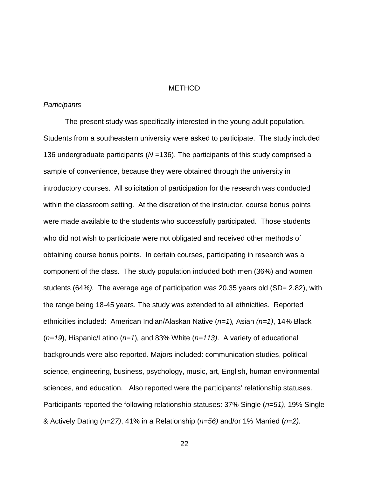#### **METHOD**

#### **Participants**

 The present study was specifically interested in the young adult population. Students from a southeastern university were asked to participate. The study included 136 undergraduate participants ( $N = 136$ ). The participants of this study comprised a sample of convenience, because they were obtained through the university in introductory courses. All solicitation of participation for the research was conducted within the classroom setting. At the discretion of the instructor, course bonus points were made available to the students who successfully participated. Those students who did not wish to participate were not obligated and received other methods of obtaining course bonus points. In certain courses, participating in research was a component of the class. The study population included both men (36%) and women students (64%). The average age of participation was 20.35 years old (SD= 2.82), with the range being 18-45 years. The study was extended to all ethnicities. Reported ethnicities included: American Indian/Alaskan Native  $(n=1)$ , Asian  $(n=1)$ , 14% Black  $(n=19)$ , Hispanic/Latino  $(n=1)$ , and 83% White  $(n=113)$ . A variety of educational backgrounds were also reported. Majors included: communication studies, political science, engineering, business, psychology, music, art, English, human environmental sciences, and education. Also reported were the participants' relationship statuses. Participants reported the following relationship statuses:  $37\%$  Single ( $n=51$ ), 19% Single & Actively Dating ( $n=27$ ), 41% in a Relationship ( $n=56$ ) and/or 1% Married ( $n=2$ ).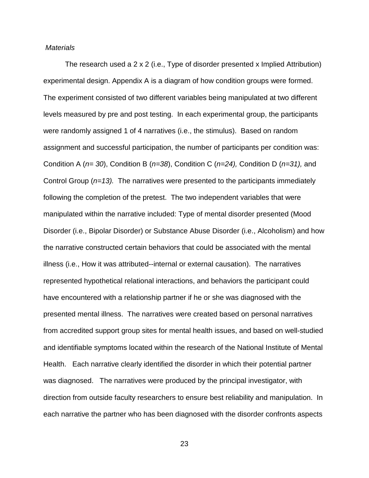#### **Materials**

 The research used a 2 x 2 (i.e., Type of disorder presented x Implied Attribution) experimental design. Appendix A is a diagram of how condition groups were formed. The experiment consisted of two different variables being manipulated at two different levels measured by pre and post testing. In each experimental group, the participants were randomly assigned 1 of 4 narratives (i.e., the stimulus). Based on random assignment and successful participation, the number of participants per condition was: Condition A ( $n=30$ ), Condition B ( $n=38$ ), Condition C ( $n=24$ ), Condition D ( $n=31$ ), and Control Group  $(n=13)$ . The narratives were presented to the participants immediately following the completion of the pretest. The two independent variables that were manipulated within the narrative included: Type of mental disorder presented (Mood Disorder (i.e., Bipolar Disorder) or Substance Abuse Disorder (i.e., Alcoholism) and how the narrative constructed certain behaviors that could be associated with the mental illness (i.e., How it was attributed--internal or external causation). The narratives represented hypothetical relational interactions, and behaviors the participant could have encountered with a relationship partner if he or she was diagnosed with the presented mental illness. The narratives were created based on personal narratives from accredited support group sites for mental health issues, and based on well-studied and identifiable symptoms located within the research of the National Institute of Mental Health. Each narrative clearly identified the disorder in which their potential partner was diagnosed. The narratives were produced by the principal investigator, with direction from outside faculty researchers to ensure best reliability and manipulation. In each narrative the partner who has been diagnosed with the disorder confronts aspects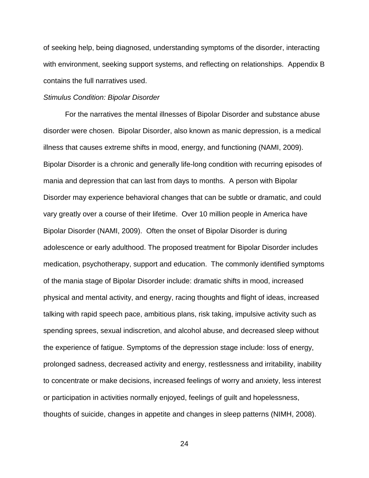of seeking help, being diagnosed, understanding symptoms of the disorder, interacting with environment, seeking support systems, and reflecting on relationships. Appendix B contains the full narratives used.

#### Stimulus Condition: Bipolar Disorder

 For the narratives the mental illnesses of Bipolar Disorder and substance abuse disorder were chosen. Bipolar Disorder, also known as manic depression, is a medical illness that causes extreme shifts in mood, energy, and functioning (NAMI, 2009). Bipolar Disorder is a chronic and generally life-long condition with recurring episodes of mania and depression that can last from days to months. A person with Bipolar Disorder may experience behavioral changes that can be subtle or dramatic, and could vary greatly over a course of their lifetime. Over 10 million people in America have Bipolar Disorder (NAMI, 2009). Often the onset of Bipolar Disorder is during adolescence or early adulthood. The proposed treatment for Bipolar Disorder includes medication, psychotherapy, support and education. The commonly identified symptoms of the mania stage of Bipolar Disorder include: dramatic shifts in mood, increased physical and mental activity, and energy, racing thoughts and flight of ideas, increased talking with rapid speech pace, ambitious plans, risk taking, impulsive activity such as spending sprees, sexual indiscretion, and alcohol abuse, and decreased sleep without the experience of fatigue. Symptoms of the depression stage include: loss of energy, prolonged sadness, decreased activity and energy, restlessness and irritability, inability to concentrate or make decisions, increased feelings of worry and anxiety, less interest or participation in activities normally enjoyed, feelings of guilt and hopelessness, thoughts of suicide, changes in appetite and changes in sleep patterns (NIMH, 2008).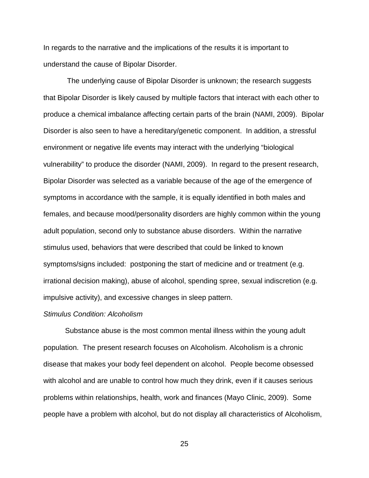In regards to the narrative and the implications of the results it is important to understand the cause of Bipolar Disorder.

 The underlying cause of Bipolar Disorder is unknown; the research suggests that Bipolar Disorder is likely caused by multiple factors that interact with each other to produce a chemical imbalance affecting certain parts of the brain (NAMI, 2009). Bipolar Disorder is also seen to have a hereditary/genetic component. In addition, a stressful environment or negative life events may interact with the underlying "biological vulnerability" to produce the disorder (NAMI, 2009). In regard to the present research, Bipolar Disorder was selected as a variable because of the age of the emergence of symptoms in accordance with the sample, it is equally identified in both males and females, and because mood/personality disorders are highly common within the young adult population, second only to substance abuse disorders. Within the narrative stimulus used, behaviors that were described that could be linked to known symptoms/signs included: postponing the start of medicine and or treatment (e.g. irrational decision making), abuse of alcohol, spending spree, sexual indiscretion (e.g. impulsive activity), and excessive changes in sleep pattern.

#### Stimulus Condition: Alcoholism

 Substance abuse is the most common mental illness within the young adult population. The present research focuses on Alcoholism. Alcoholism is a chronic disease that makes your body feel dependent on alcohol. People become obsessed with alcohol and are unable to control how much they drink, even if it causes serious problems within relationships, health, work and finances (Mayo Clinic, 2009). Some people have a problem with alcohol, but do not display all characteristics of Alcoholism,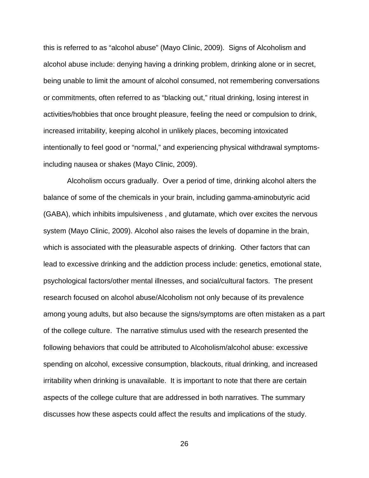this is referred to as "alcohol abuse" (Mayo Clinic, 2009). Signs of Alcoholism and alcohol abuse include: denying having a drinking problem, drinking alone or in secret, being unable to limit the amount of alcohol consumed, not remembering conversations or commitments, often referred to as "blacking out," ritual drinking, losing interest in activities/hobbies that once brought pleasure, feeling the need or compulsion to drink, increased irritability, keeping alcohol in unlikely places, becoming intoxicated intentionally to feel good or "normal," and experiencing physical withdrawal symptomsincluding nausea or shakes (Mayo Clinic, 2009).

 Alcoholism occurs gradually. Over a period of time, drinking alcohol alters the balance of some of the chemicals in your brain, including gamma-aminobutyric acid (GABA), which inhibits impulsiveness , and glutamate, which over excites the nervous system (Mayo Clinic, 2009). Alcohol also raises the levels of dopamine in the brain, which is associated with the pleasurable aspects of drinking. Other factors that can lead to excessive drinking and the addiction process include: genetics, emotional state, psychological factors/other mental illnesses, and social/cultural factors. The present research focused on alcohol abuse/Alcoholism not only because of its prevalence among young adults, but also because the signs/symptoms are often mistaken as a part of the college culture. The narrative stimulus used with the research presented the following behaviors that could be attributed to Alcoholism/alcohol abuse: excessive spending on alcohol, excessive consumption, blackouts, ritual drinking, and increased irritability when drinking is unavailable. It is important to note that there are certain aspects of the college culture that are addressed in both narratives. The summary discusses how these aspects could affect the results and implications of the study.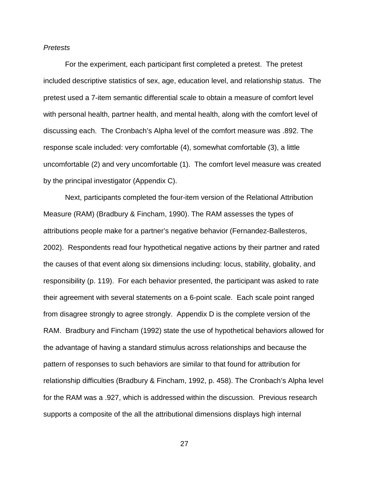### Pretests

 For the experiment, each participant first completed a pretest. The pretest included descriptive statistics of sex, age, education level, and relationship status. The pretest used a 7-item semantic differential scale to obtain a measure of comfort level with personal health, partner health, and mental health, along with the comfort level of discussing each. The Cronbach's Alpha level of the comfort measure was .892. The response scale included: very comfortable (4), somewhat comfortable (3), a little uncomfortable (2) and very uncomfortable (1). The comfort level measure was created by the principal investigator (Appendix C).

 Next, participants completed the four-item version of the Relational Attribution Measure (RAM) (Bradbury & Fincham, 1990). The RAM assesses the types of attributions people make for a partner's negative behavior (Fernandez-Ballesteros, 2002). Respondents read four hypothetical negative actions by their partner and rated the causes of that event along six dimensions including: locus, stability, globality, and responsibility (p. 119). For each behavior presented, the participant was asked to rate their agreement with several statements on a 6-point scale. Each scale point ranged from disagree strongly to agree strongly. Appendix D is the complete version of the RAM. Bradbury and Fincham (1992) state the use of hypothetical behaviors allowed for the advantage of having a standard stimulus across relationships and because the pattern of responses to such behaviors are similar to that found for attribution for relationship difficulties (Bradbury & Fincham, 1992, p. 458). The Cronbach's Alpha level for the RAM was a .927, which is addressed within the discussion. Previous research supports a composite of the all the attributional dimensions displays high internal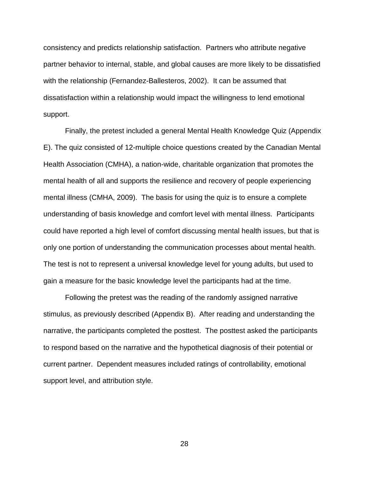consistency and predicts relationship satisfaction. Partners who attribute negative partner behavior to internal, stable, and global causes are more likely to be dissatisfied with the relationship (Fernandez-Ballesteros, 2002). It can be assumed that dissatisfaction within a relationship would impact the willingness to lend emotional support.

 Finally, the pretest included a general Mental Health Knowledge Quiz (Appendix E). The quiz consisted of 12-multiple choice questions created by the Canadian Mental Health Association (CMHA), a nation-wide, charitable organization that promotes the mental health of all and supports the resilience and recovery of people experiencing mental illness (CMHA, 2009). The basis for using the quiz is to ensure a complete understanding of basis knowledge and comfort level with mental illness. Participants could have reported a high level of comfort discussing mental health issues, but that is only one portion of understanding the communication processes about mental health. The test is not to represent a universal knowledge level for young adults, but used to gain a measure for the basic knowledge level the participants had at the time.

 Following the pretest was the reading of the randomly assigned narrative stimulus, as previously described (Appendix B). After reading and understanding the narrative, the participants completed the posttest. The posttest asked the participants to respond based on the narrative and the hypothetical diagnosis of their potential or current partner. Dependent measures included ratings of controllability, emotional support level, and attribution style.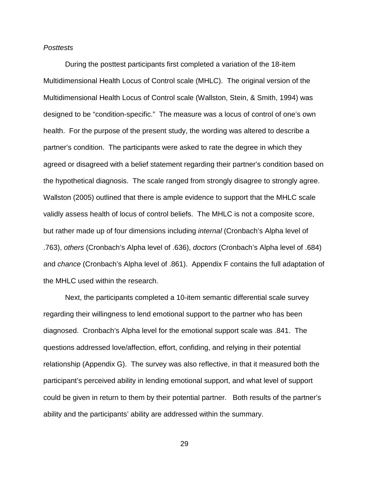### **Posttests**

 During the posttest participants first completed a variation of the 18-item Multidimensional Health Locus of Control scale (MHLC). The original version of the Multidimensional Health Locus of Control scale (Wallston, Stein, & Smith, 1994) was designed to be "condition-specific." The measure was a locus of control of one's own health. For the purpose of the present study, the wording was altered to describe a partner's condition. The participants were asked to rate the degree in which they agreed or disagreed with a belief statement regarding their partner's condition based on the hypothetical diagnosis. The scale ranged from strongly disagree to strongly agree. Wallston (2005) outlined that there is ample evidence to support that the MHLC scale validly assess health of locus of control beliefs. The MHLC is not a composite score, but rather made up of four dimensions including internal (Cronbach's Alpha level of .763), others (Cronbach's Alpha level of .636), doctors (Cronbach's Alpha level of .684) and chance (Cronbach's Alpha level of .861). Appendix F contains the full adaptation of the MHLC used within the research.

 Next, the participants completed a 10-item semantic differential scale survey regarding their willingness to lend emotional support to the partner who has been diagnosed. Cronbach's Alpha level for the emotional support scale was .841. The questions addressed love/affection, effort, confiding, and relying in their potential relationship (Appendix G). The survey was also reflective, in that it measured both the participant's perceived ability in lending emotional support, and what level of support could be given in return to them by their potential partner. Both results of the partner's ability and the participants' ability are addressed within the summary.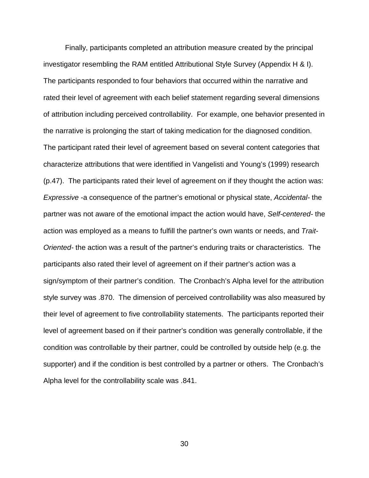Finally, participants completed an attribution measure created by the principal investigator resembling the RAM entitled Attributional Style Survey (Appendix H & I). The participants responded to four behaviors that occurred within the narrative and rated their level of agreement with each belief statement regarding several dimensions of attribution including perceived controllability. For example, one behavior presented in the narrative is prolonging the start of taking medication for the diagnosed condition. The participant rated their level of agreement based on several content categories that characterize attributions that were identified in Vangelisti and Young's (1999) research (p.47). The participants rated their level of agreement on if they thought the action was: Expressive -a consequence of the partner's emotional or physical state, Accidental- the partner was not aware of the emotional impact the action would have, Self-centered- the action was employed as a means to fulfill the partner's own wants or needs, and Trait-Oriented- the action was a result of the partner's enduring traits or characteristics. The participants also rated their level of agreement on if their partner's action was a sign/symptom of their partner's condition. The Cronbach's Alpha level for the attribution style survey was .870. The dimension of perceived controllability was also measured by their level of agreement to five controllability statements. The participants reported their level of agreement based on if their partner's condition was generally controllable, if the condition was controllable by their partner, could be controlled by outside help (e.g. the supporter) and if the condition is best controlled by a partner or others. The Cronbach's Alpha level for the controllability scale was .841.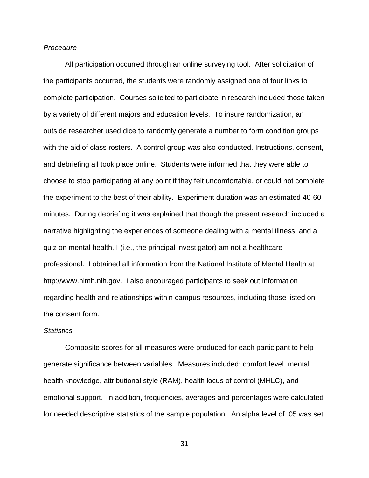### **Procedure**

 All participation occurred through an online surveying tool. After solicitation of the participants occurred, the students were randomly assigned one of four links to complete participation. Courses solicited to participate in research included those taken by a variety of different majors and education levels. To insure randomization, an outside researcher used dice to randomly generate a number to form condition groups with the aid of class rosters. A control group was also conducted. Instructions, consent, and debriefing all took place online. Students were informed that they were able to choose to stop participating at any point if they felt uncomfortable, or could not complete the experiment to the best of their ability. Experiment duration was an estimated 40-60 minutes. During debriefing it was explained that though the present research included a narrative highlighting the experiences of someone dealing with a mental illness, and a quiz on mental health, I (i.e., the principal investigator) am not a healthcare professional. I obtained all information from the National Institute of Mental Health at http://www.nimh.nih.gov. I also encouraged participants to seek out information regarding health and relationships within campus resources, including those listed on the consent form.

### **Statistics**

Composite scores for all measures were produced for each participant to help generate significance between variables. Measures included: comfort level, mental health knowledge, attributional style (RAM), health locus of control (MHLC), and emotional support. In addition, frequencies, averages and percentages were calculated for needed descriptive statistics of the sample population. An alpha level of .05 was set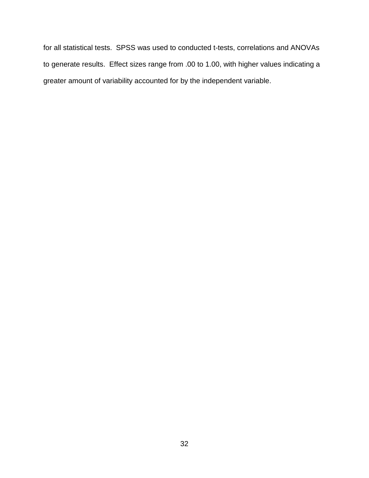for all statistical tests. SPSS was used to conducted t-tests, correlations and ANOVAs to generate results. Effect sizes range from .00 to 1.00, with higher values indicating a greater amount of variability accounted for by the independent variable.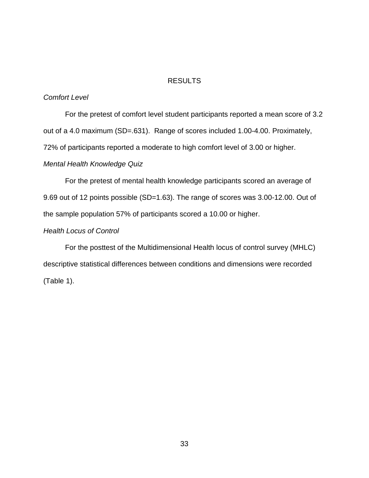## RESULTS

## Comfort Level

For the pretest of comfort level student participants reported a mean score of 3.2 out of a 4.0 maximum (SD=.631). Range of scores included 1.00-4.00. Proximately, 72% of participants reported a moderate to high comfort level of 3.00 or higher.

## Mental Health Knowledge Quiz

For the pretest of mental health knowledge participants scored an average of 9.69 out of 12 points possible (SD=1.63). The range of scores was 3.00-12.00. Out of the sample population 57% of participants scored a 10.00 or higher.

## Health Locus of Control

For the posttest of the Multidimensional Health locus of control survey (MHLC) descriptive statistical differences between conditions and dimensions were recorded (Table 1).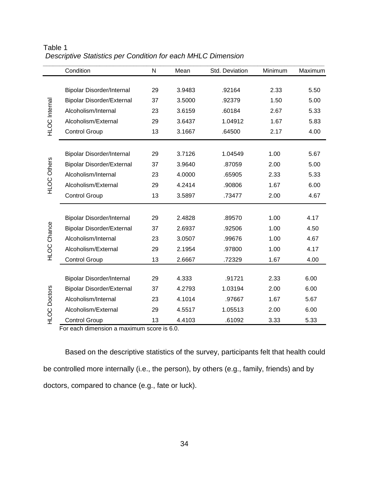|                      | Condition                                                                                  | N  | Mean   | Std. Deviation | Minimum | Maximum |
|----------------------|--------------------------------------------------------------------------------------------|----|--------|----------------|---------|---------|
|                      |                                                                                            |    |        |                |         |         |
|                      | <b>Bipolar Disorder/Internal</b>                                                           | 29 | 3.9483 | .92164         | 2.33    | 5.50    |
| <b>HLOC</b> Internal | <b>Bipolar Disorder/External</b>                                                           | 37 | 3.5000 | .92379         | 1.50    | 5.00    |
|                      | Alcoholism/Internal                                                                        | 23 | 3.6159 | .60184         | 2.67    | 5.33    |
|                      | Alcoholism/External                                                                        | 29 | 3.6437 | 1.04912        | 1.67    | 5.83    |
|                      | <b>Control Group</b>                                                                       | 13 | 3.1667 | .64500         | 2.17    | 4.00    |
|                      |                                                                                            |    |        |                |         |         |
|                      | <b>Bipolar Disorder/Internal</b>                                                           | 29 | 3.7126 | 1.04549        | 1.00    | 5.67    |
| <b>HLOC Others</b>   | <b>Bipolar Disorder/External</b>                                                           | 37 | 3.9640 | .87059         | 2.00    | 5.00    |
|                      | Alcoholism/Internal                                                                        | 23 | 4.0000 | .65905         | 2.33    | 5.33    |
|                      | Alcoholism/External                                                                        | 29 | 4.2414 | .90806         | 1.67    | 6.00    |
|                      | <b>Control Group</b>                                                                       | 13 | 3.5897 | .73477         | 2.00    | 4.67    |
|                      | <b>Bipolar Disorder/Internal</b>                                                           | 29 | 2.4828 | .89570         | 1.00    | 4.17    |
| <b>HLOC Chance</b>   | <b>Bipolar Disorder/External</b>                                                           | 37 | 2.6937 | .92506         | 1.00    | 4.50    |
|                      | Alcoholism/Internal                                                                        | 23 | 3.0507 | .99676         | 1.00    | 4.67    |
|                      | Alcoholism/External                                                                        | 29 | 2.1954 | .97800         | 1.00    | 4.17    |
|                      | <b>Control Group</b>                                                                       | 13 | 2.6667 | .72329         | 1.67    | 4.00    |
|                      |                                                                                            |    |        |                |         |         |
|                      | <b>Bipolar Disorder/Internal</b>                                                           | 29 | 4.333  | .91721         | 2.33    | 6.00    |
|                      | <b>Bipolar Disorder/External</b>                                                           | 37 | 4.2793 | 1.03194        | 2.00    | 6.00    |
|                      | Alcoholism/Internal                                                                        | 23 | 4.1014 | .97667         | 1.67    | 5.67    |
| <b>HLOC</b> Doctors  | Alcoholism/External                                                                        | 29 | 4.5517 | 1.05513        | 2.00    | 6.00    |
|                      | <b>Control Group</b>                                                                       | 13 | 4.4103 | .61092         | 3.33    | 5.33    |
|                      | For each dimension a maximum score is 6.0.                                                 |    |        |                |         |         |
|                      | Based on the descriptive statistics of the survey, participants felt that health could     |    |        |                |         |         |
|                      | be controlled more internally (i.e., the person), by others (e.g., family, friends) and by |    |        |                |         |         |
|                      | doctors, compared to chance (e.g., fate or luck).                                          |    |        |                |         |         |

Table 1 Descriptive Statistics per Condition for each MHLC Dimension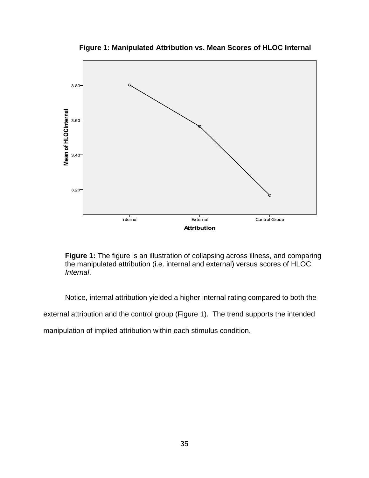

**Figure 1: Manipulated Attribution vs. Mean Scores of HLOC Internal** 

**Figure 1:** The figure is an illustration of collapsing across illness, and comparing the manipulated attribution (i.e. internal and external) versus scores of HLOC Internal.

Notice, internal attribution yielded a higher internal rating compared to both the external attribution and the control group (Figure 1). The trend supports the intended

manipulation of implied attribution within each stimulus condition.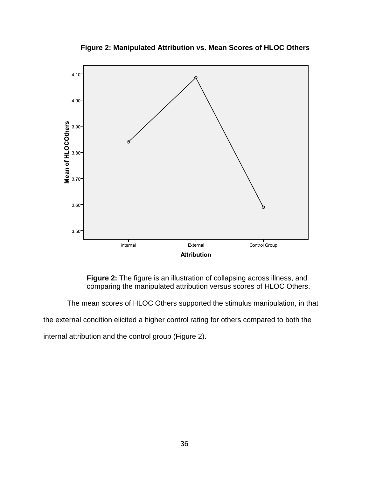

**Figure 2: Manipulated Attribution vs. Mean Scores of HLOC Others** 

 **Figure 2:** The figure is an illustration of collapsing across illness, and comparing the manipulated attribution versus scores of HLOC Others.

The mean scores of HLOC Others supported the stimulus manipulation, in that

the external condition elicited a higher control rating for others compared to both the

internal attribution and the control group (Figure 2).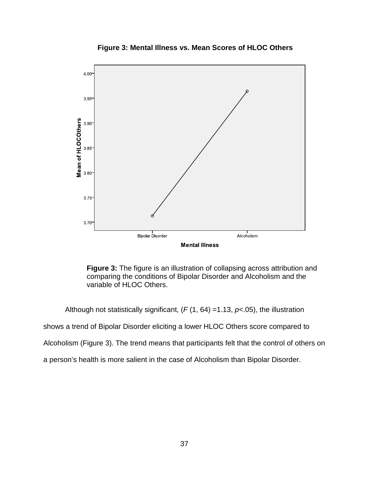

**Figure 3: Mental Illness vs. Mean Scores of HLOC Others** 

 **Figure 3:** The figure is an illustration of collapsing across attribution and comparing the conditions of Bipolar Disorder and Alcoholism and the variable of HLOC Others.

Although not statistically significant,  $(F(1, 64) = 1.13, p < 0.05)$ , the illustration

shows a trend of Bipolar Disorder eliciting a lower HLOC Others score compared to

Alcoholism (Figure 3). The trend means that participants felt that the control of others on

a person's health is more salient in the case of Alcoholism than Bipolar Disorder.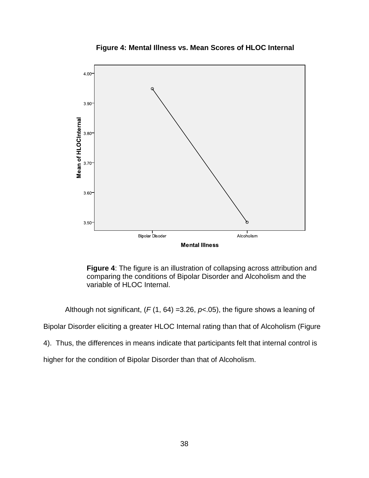

**Figure 4: Mental Illness vs. Mean Scores of HLOC Internal** 

 **Figure 4**: The figure is an illustration of collapsing across attribution and comparing the conditions of Bipolar Disorder and Alcoholism and the variable of HLOC Internal.

Although not significant,  $(F(1, 64) = 3.26, p < .05)$ , the figure shows a leaning of

Bipolar Disorder eliciting a greater HLOC Internal rating than that of Alcoholism (Figure

4). Thus, the differences in means indicate that participants felt that internal control is

higher for the condition of Bipolar Disorder than that of Alcoholism.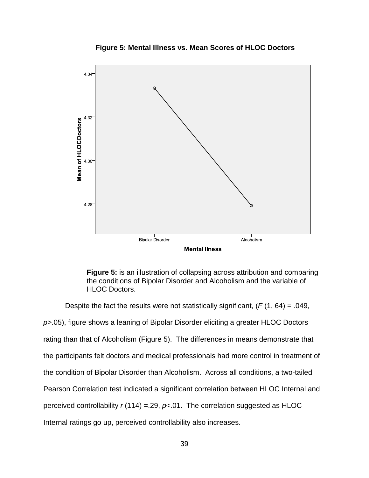



**Figure 5:** is an illustration of collapsing across attribution and comparing the conditions of Bipolar Disorder and Alcoholism and the variable of HLOC Doctors.

Despite the fact the results were not statistically significant,  $(F(1, 64) = .049,$ p>.05), figure shows a leaning of Bipolar Disorder eliciting a greater HLOC Doctors rating than that of Alcoholism (Figure 5). The differences in means demonstrate that the participants felt doctors and medical professionals had more control in treatment of the condition of Bipolar Disorder than Alcoholism. Across all conditions, a two-tailed Pearson Correlation test indicated a significant correlation between HLOC Internal and perceived controllability  $r(114) = 29$ ,  $p< 01$ . The correlation suggested as HLOC Internal ratings go up, perceived controllability also increases.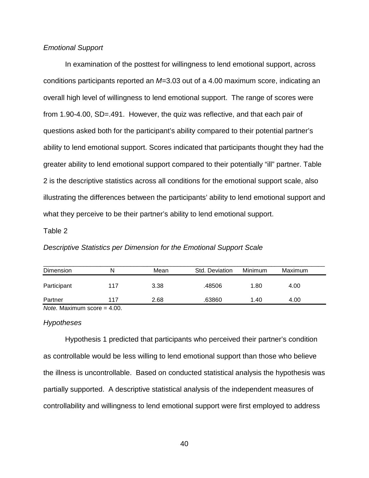### Emotional Support

In examination of the posttest for willingness to lend emotional support, across conditions participants reported an M=3.03 out of a 4.00 maximum score, indicating an overall high level of willingness to lend emotional support. The range of scores were from 1.90-4.00, SD=.491. However, the quiz was reflective, and that each pair of questions asked both for the participant's ability compared to their potential partner's ability to lend emotional support. Scores indicated that participants thought they had the greater ability to lend emotional support compared to their potentially "ill" partner. Table 2 is the descriptive statistics across all conditions for the emotional support scale, also illustrating the differences between the participants' ability to lend emotional support and what they perceive to be their partner's ability to lend emotional support.

### Table 2

### Descriptive Statistics per Dimension for the Emotional Support Scale

| Dimension   | N             | Mean | Std. Deviation | Minimum | Maximum |
|-------------|---------------|------|----------------|---------|---------|
| Participant | 117           | 3.38 | .48506         | 1.80    | 4.00    |
| Partner     | 117           | 2.68 | .63860         | 1.40    | 4.00    |
| .           | $\sim$ $\sim$ |      |                |         |         |

Note. Maximum score = 4.00.

### **Hypotheses**

Hypothesis 1 predicted that participants who perceived their partner's condition as controllable would be less willing to lend emotional support than those who believe the illness is uncontrollable. Based on conducted statistical analysis the hypothesis was partially supported. A descriptive statistical analysis of the independent measures of controllability and willingness to lend emotional support were first employed to address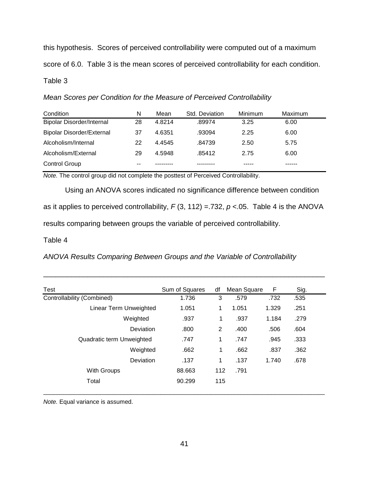this hypothesis. Scores of perceived controllability were computed out of a maximum score of 6.0. Table 3 is the mean scores of perceived controllability for each condition. Table 3

Mean Scores per Condition for the Measure of Perceived Controllability

| Condition                        | N  | Mean   | Std. Deviation | Minimum | Maximum |  |
|----------------------------------|----|--------|----------------|---------|---------|--|
| <b>Bipolar Disorder/Internal</b> | 28 | 4.8214 | .89974         | 3.25    | 6.00    |  |
| <b>Bipolar Disorder/External</b> | 37 | 4.6351 | .93094         | 2.25    | 6.00    |  |
| Alcoholism/Internal              | 22 | 4.4545 | .84739         | 2.50    | 5.75    |  |
| Alcoholism/External              | 29 | 4.5948 | .85412         | 2.75    | 6.00    |  |
| <b>Control Group</b>             | -- |        |                |         |         |  |

Note. The control group did not complete the posttest of Perceived Controllability.

 Using an ANOVA scores indicated no significance difference between condition as it applies to perceived controllability,  $F(3, 112) = 732$ ,  $p < 05$ . Table 4 is the ANOVA results comparing between groups the variable of perceived controllability.

Table 4

ANOVA Results Comparing Between Groups and the Variable of Controllability

| Test                       | Sum of Squares | df  | Mean Square | F     | Sig. |
|----------------------------|----------------|-----|-------------|-------|------|
| Controllability (Combined) | 1.736          | 3   | .579        | .732  | .535 |
| Linear Term Unweighted     | 1.051          | 1   | 1.051       | 1.329 | .251 |
| Weighted                   | .937           | 1   | .937        | 1.184 | .279 |
| Deviation                  | .800           | 2   | .400        | .506  | .604 |
| Quadratic term Unweighted  | .747           | 1   | .747        | .945  | .333 |
| Weighted                   | .662           | 1   | .662        | .837  | .362 |
| <b>Deviation</b>           | .137           | 1   | .137        | 1.740 | .678 |
| With Groups                | 88.663         | 112 | .791        |       |      |
| Total                      | 90.299         | 115 |             |       |      |
|                            |                |     |             |       |      |

\_\_\_\_\_\_\_\_\_\_\_\_\_\_\_\_\_\_\_\_\_\_\_\_\_\_\_\_\_\_\_\_\_\_\_\_\_\_\_\_\_\_\_\_\_\_\_\_\_\_\_\_\_\_\_\_\_\_\_\_\_\_\_\_\_\_\_\_\_\_

Note. Equal variance is assumed.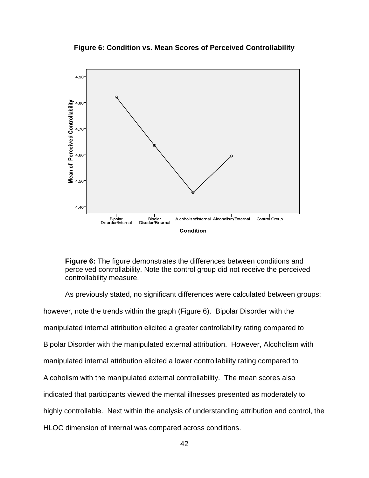**Figure 6: Condition vs. Mean Scores of Perceived Controllability**



**Figure 6:** The figure demonstrates the differences between conditions and perceived controllability. Note the control group did not receive the perceived controllability measure.

As previously stated, no significant differences were calculated between groups; however, note the trends within the graph (Figure 6). Bipolar Disorder with the manipulated internal attribution elicited a greater controllability rating compared to Bipolar Disorder with the manipulated external attribution. However, Alcoholism with manipulated internal attribution elicited a lower controllability rating compared to Alcoholism with the manipulated external controllability. The mean scores also indicated that participants viewed the mental illnesses presented as moderately to highly controllable. Next within the analysis of understanding attribution and control, the HLOC dimension of internal was compared across conditions.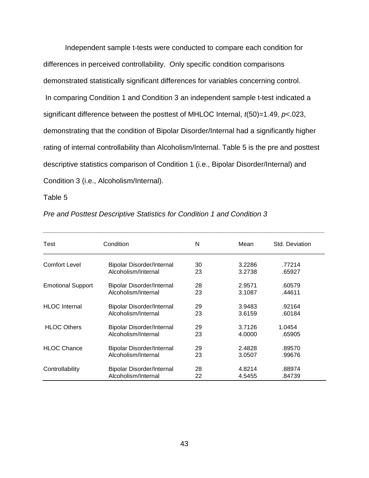Independent sample t-tests were conducted to compare each condition for differences in perceived controllability. Only specific condition comparisons demonstrated statistically significant differences for variables concerning control. In comparing Condition 1 and Condition 3 an independent sample t-test indicated a significant difference between the posttest of MHLOC Internal,  $t(50)=1.49$ ,  $p<0.023$ , demonstrating that the condition of Bipolar Disorder/Internal had a significantly higher rating of internal controllability than Alcoholism/Internal. Table 5 is the pre and posttest descriptive statistics comparison of Condition 1 (i.e., Bipolar Disorder/Internal) and Condition 3 (i.e., Alcoholism/Internal).

Table 5

| Test                     | Condition                        | N  | Mean   | Std. Deviation |
|--------------------------|----------------------------------|----|--------|----------------|
| Comfort Level            | <b>Bipolar Disorder/Internal</b> | 30 | 3.2286 | .77214         |
|                          | Alcoholism/Internal              | 23 | 3.2738 | .65927         |
| <b>Emotional Support</b> | <b>Bipolar Disorder/Internal</b> | 28 | 2.9571 | .60579         |
|                          | Alcoholism/Internal              | 23 | 3.1087 | .44611         |
| <b>HLOC</b> Internal     | <b>Bipolar Disorder/Internal</b> | 29 | 3.9483 | .92164         |
|                          | Alcoholism/Internal              | 23 | 3.6159 | .60184         |
| <b>HLOC Others</b>       | <b>Bipolar Disorder/Internal</b> | 29 | 3.7126 | 1.0454         |
|                          | Alcoholism/Internal              | 23 | 4.0000 | .65905         |
| <b>HLOC Chance</b>       | <b>Bipolar Disorder/Internal</b> | 29 | 2.4828 | .89570         |
|                          | Alcoholism/Internal              | 23 | 3.0507 | .99676         |
| Controllability          | <b>Bipolar Disorder/Internal</b> | 28 | 4.8214 | .88974         |
|                          | Alcoholism/Internal              | 22 | 4.5455 | .84739         |

\_\_\_\_\_\_\_\_\_\_\_\_\_\_\_\_\_\_\_\_\_\_\_\_\_\_\_\_\_\_\_\_\_\_\_\_\_\_\_\_\_\_\_\_\_\_\_\_\_\_\_\_\_\_\_\_\_\_\_\_\_\_\_\_\_\_\_\_\_\_\_\_\_\_\_\_\_\_\_\_\_\_\_\_

Pre and Posttest Descriptive Statistics for Condition 1 and Condition 3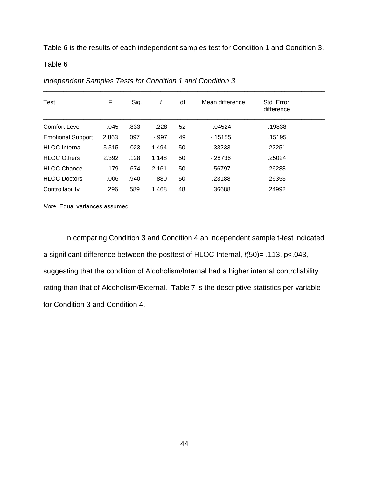Table 6 is the results of each independent samples test for Condition 1 and Condition 3.

\_\_\_\_\_\_\_\_\_\_\_\_\_\_\_\_\_\_\_\_\_\_\_\_\_\_\_\_\_\_\_\_\_\_\_\_\_\_\_\_\_\_\_\_\_\_\_\_\_\_\_\_\_\_\_\_\_\_\_\_\_\_\_\_\_\_\_\_\_\_\_\_\_\_\_\_\_\_\_\_\_\_\_\_

Table 6

| Test                     | F     | Sig. | t       | df | Mean difference | Std. Error<br>difference |  |
|--------------------------|-------|------|---------|----|-----------------|--------------------------|--|
| <b>Comfort Level</b>     | .045  | .833 | $-.228$ | 52 | $-0.04524$      | .19838                   |  |
| <b>Emotional Support</b> | 2.863 | .097 | $-997$  | 49 | $-15155$        | .15195                   |  |
| <b>HLOC</b> Internal     | 5.515 | .023 | 1.494   | 50 | .33233          | .22251                   |  |
| <b>HLOC Others</b>       | 2.392 | .128 | 1.148   | 50 | $-28736$        | .25024                   |  |
| <b>HLOC Chance</b>       | .179  | .674 | 2.161   | 50 | .56797          | .26288                   |  |
| <b>HLOC Doctors</b>      | .006  | .940 | .880    | 50 | .23188          | .26353                   |  |
| Controllability          | .296  | .589 | 1.468   | 48 | .36688          | .24992                   |  |

Independent Samples Tests for Condition 1 and Condition 3

Note. Equal variances assumed.

 In comparing Condition 3 and Condition 4 an independent sample t-test indicated a significant difference between the posttest of HLOC Internal, t(50)=-.113, p<.043, suggesting that the condition of Alcoholism/Internal had a higher internal controllability rating than that of Alcoholism/External. Table 7 is the descriptive statistics per variable for Condition 3 and Condition 4.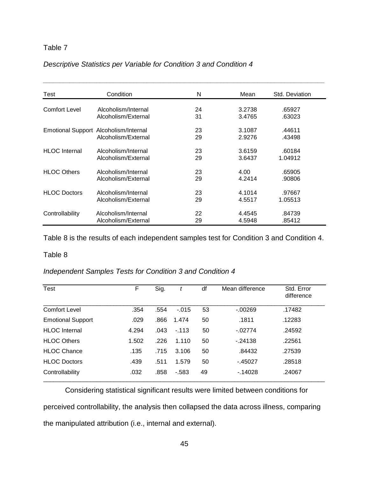# Table 7

| Descriptive Statistics per Variable for Condition 3 and Condition 4 |  |  |  |  |
|---------------------------------------------------------------------|--|--|--|--|
|---------------------------------------------------------------------|--|--|--|--|

| Test                 | Condition                             | N  | Mean   | Std. Deviation |
|----------------------|---------------------------------------|----|--------|----------------|
| <b>Comfort Level</b> | Alcoholism/Internal                   | 24 | 3.2738 | .65927         |
|                      | Alcoholism/External                   | 31 | 3.4765 | .63023         |
|                      | Emotional Support Alcoholism/Internal | 23 | 3.1087 | .44611         |
|                      | Alcoholism/External                   | 29 | 2.9276 | .43498         |
| <b>HLOC</b> Internal | Alcoholism/Internal                   | 23 | 3.6159 | .60184         |
|                      | Alcoholism/External                   | 29 | 3.6437 | 1.04912        |
| <b>HLOC Others</b>   | Alcoholism/Internal                   | 23 | 4.00   | .65905         |
|                      | Alcoholism/External                   | 29 | 4.2414 | .90806         |
| <b>HLOC Doctors</b>  | Alcoholism/Internal                   | 23 | 4.1014 | .97667         |
|                      | Alcoholism/External                   | 29 | 4.5517 | 1.05513        |
| Controllability      | Alcoholism/Internal                   | 22 | 4.4545 | .84739         |
|                      | Alcoholism/External                   | 29 | 4.5948 | .85412         |

Table 8 is the results of each independent samples test for Condition 3 and Condition 4.

### Table 8

# Independent Samples Tests for Condition 3 and Condition 4

| Test                     | F     | Sig. | t        | df | Mean difference | Std. Error<br>difference |
|--------------------------|-------|------|----------|----|-----------------|--------------------------|
| <b>Comfort Level</b>     | .354  | .554 | $-0.015$ | 53 | $-0.0269$       | .17482                   |
| <b>Emotional Support</b> | .029  | .866 | 1.474    | 50 | .1811           | .12283                   |
| <b>HLOC</b> Internal     | 4.294 | .043 | $-113$   | 50 | $-02774$        | .24592                   |
| <b>HLOC Others</b>       | 1.502 | .226 | 1.110    | 50 | $-24138$        | .22561                   |
| <b>HLOC Chance</b>       | .135  | .715 | 3.106    | 50 | .84432          | .27539                   |
| <b>HLOC Doctors</b>      | .439  | .511 | 1.579    | 50 | $-45027$        | .28518                   |
| Controllability          | .032  | .858 | $-583$   | 49 | $-14028$        | .24067                   |

 Considering statistical significant results were limited between conditions for perceived controllability, the analysis then collapsed the data across illness, comparing the manipulated attribution (i.e., internal and external).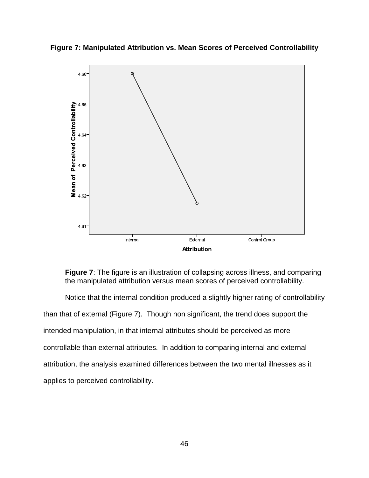**Figure 7: Manipulated Attribution vs. Mean Scores of Perceived Controllability** 



**Figure 7:** The figure is an illustration of collapsing across illness, and comparing the manipulated attribution versus mean scores of perceived controllability.

 Notice that the internal condition produced a slightly higher rating of controllability than that of external (Figure 7). Though non significant, the trend does support the intended manipulation, in that internal attributes should be perceived as more controllable than external attributes. In addition to comparing internal and external attribution, the analysis examined differences between the two mental illnesses as it applies to perceived controllability.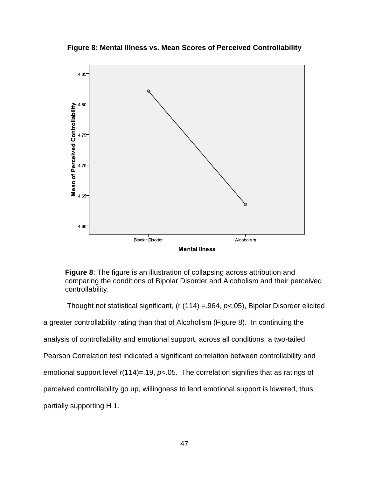**Figure 8: Mental Illness vs. Mean Scores of Perceived Controllability** 



**Figure 8**: The figure is an illustration of collapsing across attribution and comparing the conditions of Bipolar Disorder and Alcoholism and their perceived controllability.

Thought not statistical significant, (r  $(114) = 964$ ,  $p< 05$ ), Bipolar Disorder elicited a greater controllability rating than that of Alcoholism (Figure 8). In continuing the analysis of controllability and emotional support, across all conditions, a two-tailed Pearson Correlation test indicated a significant correlation between controllability and emotional support level  $r(114)=.19$ ,  $p<0.05$ . The correlation signifies that as ratings of perceived controllability go up, willingness to lend emotional support is lowered, thus partially supporting H 1.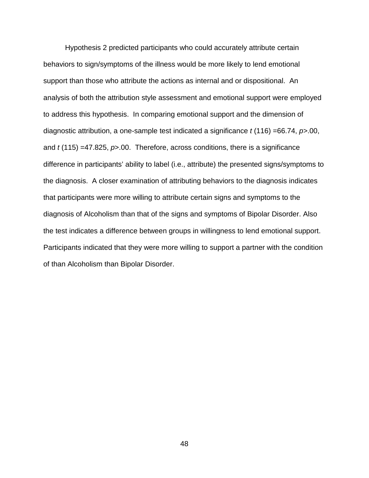Hypothesis 2 predicted participants who could accurately attribute certain behaviors to sign/symptoms of the illness would be more likely to lend emotional support than those who attribute the actions as internal and or dispositional. An analysis of both the attribution style assessment and emotional support were employed to address this hypothesis. In comparing emotional support and the dimension of diagnostic attribution, a one-sample test indicated a significance  $t$  (116) =66.74,  $p$ >.00, and  $t$  (115) =47.825,  $p$ >.00. Therefore, across conditions, there is a significance difference in participants' ability to label (i.e., attribute) the presented signs/symptoms to the diagnosis. A closer examination of attributing behaviors to the diagnosis indicates that participants were more willing to attribute certain signs and symptoms to the diagnosis of Alcoholism than that of the signs and symptoms of Bipolar Disorder. Also the test indicates a difference between groups in willingness to lend emotional support. Participants indicated that they were more willing to support a partner with the condition of than Alcoholism than Bipolar Disorder.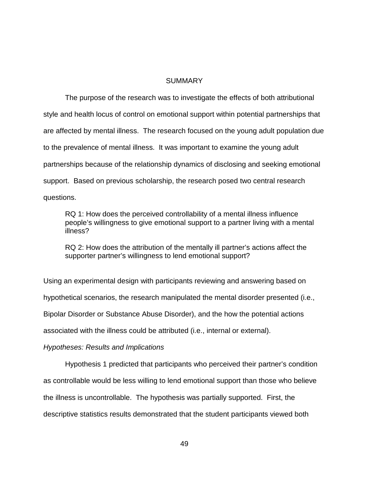### **SUMMARY**

 The purpose of the research was to investigate the effects of both attributional style and health locus of control on emotional support within potential partnerships that are affected by mental illness. The research focused on the young adult population due to the prevalence of mental illness. It was important to examine the young adult partnerships because of the relationship dynamics of disclosing and seeking emotional support. Based on previous scholarship, the research posed two central research questions.

 RQ 1: How does the perceived controllability of a mental illness influence people's willingness to give emotional support to a partner living with a mental illness?

 RQ 2: How does the attribution of the mentally ill partner's actions affect the supporter partner's willingness to lend emotional support?

Using an experimental design with participants reviewing and answering based on hypothetical scenarios, the research manipulated the mental disorder presented (i.e., Bipolar Disorder or Substance Abuse Disorder), and the how the potential actions associated with the illness could be attributed (i.e., internal or external).

### Hypotheses: Results and Implications

 Hypothesis 1 predicted that participants who perceived their partner's condition as controllable would be less willing to lend emotional support than those who believe the illness is uncontrollable. The hypothesis was partially supported. First, the descriptive statistics results demonstrated that the student participants viewed both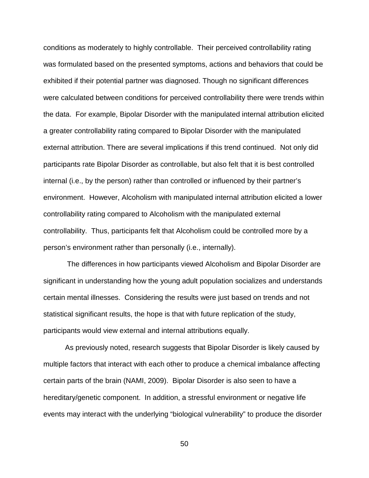conditions as moderately to highly controllable. Their perceived controllability rating was formulated based on the presented symptoms, actions and behaviors that could be exhibited if their potential partner was diagnosed. Though no significant differences were calculated between conditions for perceived controllability there were trends within the data. For example, Bipolar Disorder with the manipulated internal attribution elicited a greater controllability rating compared to Bipolar Disorder with the manipulated external attribution. There are several implications if this trend continued. Not only did participants rate Bipolar Disorder as controllable, but also felt that it is best controlled internal (i.e., by the person) rather than controlled or influenced by their partner's environment. However, Alcoholism with manipulated internal attribution elicited a lower controllability rating compared to Alcoholism with the manipulated external controllability. Thus, participants felt that Alcoholism could be controlled more by a person's environment rather than personally (i.e., internally).

 The differences in how participants viewed Alcoholism and Bipolar Disorder are significant in understanding how the young adult population socializes and understands certain mental illnesses. Considering the results were just based on trends and not statistical significant results, the hope is that with future replication of the study, participants would view external and internal attributions equally.

 As previously noted, research suggests that Bipolar Disorder is likely caused by multiple factors that interact with each other to produce a chemical imbalance affecting certain parts of the brain (NAMI, 2009). Bipolar Disorder is also seen to have a hereditary/genetic component. In addition, a stressful environment or negative life events may interact with the underlying "biological vulnerability" to produce the disorder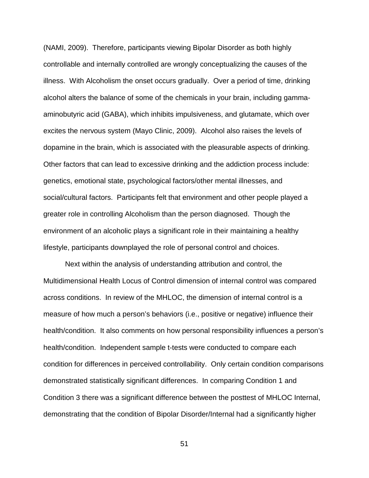(NAMI, 2009). Therefore, participants viewing Bipolar Disorder as both highly controllable and internally controlled are wrongly conceptualizing the causes of the illness. With Alcoholism the onset occurs gradually. Over a period of time, drinking alcohol alters the balance of some of the chemicals in your brain, including gammaaminobutyric acid (GABA), which inhibits impulsiveness, and glutamate, which over excites the nervous system (Mayo Clinic, 2009). Alcohol also raises the levels of dopamine in the brain, which is associated with the pleasurable aspects of drinking. Other factors that can lead to excessive drinking and the addiction process include: genetics, emotional state, psychological factors/other mental illnesses, and social/cultural factors. Participants felt that environment and other people played a greater role in controlling Alcoholism than the person diagnosed. Though the environment of an alcoholic plays a significant role in their maintaining a healthy lifestyle, participants downplayed the role of personal control and choices.

 Next within the analysis of understanding attribution and control, the Multidimensional Health Locus of Control dimension of internal control was compared across conditions. In review of the MHLOC, the dimension of internal control is a measure of how much a person's behaviors (i.e., positive or negative) influence their health/condition. It also comments on how personal responsibility influences a person's health/condition. Independent sample t-tests were conducted to compare each condition for differences in perceived controllability. Only certain condition comparisons demonstrated statistically significant differences. In comparing Condition 1 and Condition 3 there was a significant difference between the posttest of MHLOC Internal, demonstrating that the condition of Bipolar Disorder/Internal had a significantly higher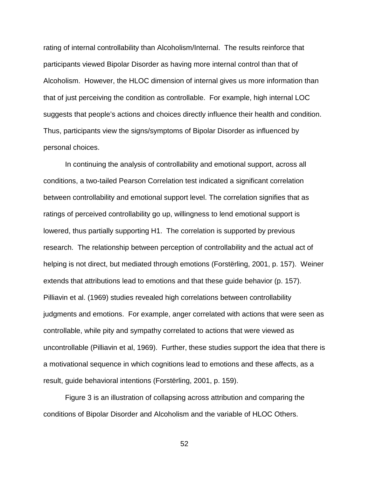rating of internal controllability than Alcoholism/Internal. The results reinforce that participants viewed Bipolar Disorder as having more internal control than that of Alcoholism. However, the HLOC dimension of internal gives us more information than that of just perceiving the condition as controllable. For example, high internal LOC suggests that people's actions and choices directly influence their health and condition. Thus, participants view the signs/symptoms of Bipolar Disorder as influenced by personal choices.

 In continuing the analysis of controllability and emotional support, across all conditions, a two-tailed Pearson Correlation test indicated a significant correlation between controllability and emotional support level. The correlation signifies that as ratings of perceived controllability go up, willingness to lend emotional support is lowered, thus partially supporting H1. The correlation is supported by previous research. The relationship between perception of controllability and the actual act of helping is not direct, but mediated through emotions (Forstërling, 2001, p. 157). Weiner extends that attributions lead to emotions and that these guide behavior (p. 157). Pilliavin et al. (1969) studies revealed high correlations between controllability judgments and emotions. For example, anger correlated with actions that were seen as controllable, while pity and sympathy correlated to actions that were viewed as uncontrollable (Pilliavin et al, 1969). Further, these studies support the idea that there is a motivational sequence in which cognitions lead to emotions and these affects, as a result, guide behavioral intentions (Forstërling, 2001, p. 159).

 Figure 3 is an illustration of collapsing across attribution and comparing the conditions of Bipolar Disorder and Alcoholism and the variable of HLOC Others.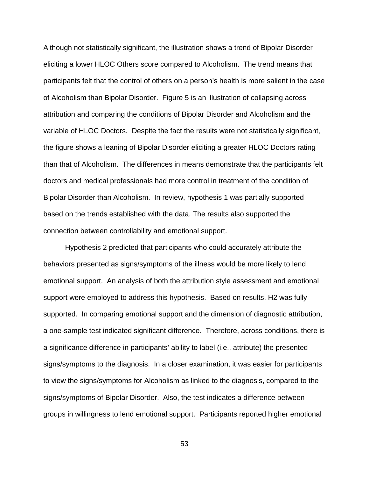Although not statistically significant, the illustration shows a trend of Bipolar Disorder eliciting a lower HLOC Others score compared to Alcoholism. The trend means that participants felt that the control of others on a person's health is more salient in the case of Alcoholism than Bipolar Disorder. Figure 5 is an illustration of collapsing across attribution and comparing the conditions of Bipolar Disorder and Alcoholism and the variable of HLOC Doctors. Despite the fact the results were not statistically significant, the figure shows a leaning of Bipolar Disorder eliciting a greater HLOC Doctors rating than that of Alcoholism. The differences in means demonstrate that the participants felt doctors and medical professionals had more control in treatment of the condition of Bipolar Disorder than Alcoholism. In review, hypothesis 1 was partially supported based on the trends established with the data. The results also supported the connection between controllability and emotional support.

 Hypothesis 2 predicted that participants who could accurately attribute the behaviors presented as signs/symptoms of the illness would be more likely to lend emotional support. An analysis of both the attribution style assessment and emotional support were employed to address this hypothesis. Based on results, H2 was fully supported. In comparing emotional support and the dimension of diagnostic attribution, a one-sample test indicated significant difference. Therefore, across conditions, there is a significance difference in participants' ability to label (i.e., attribute) the presented signs/symptoms to the diagnosis. In a closer examination, it was easier for participants to view the signs/symptoms for Alcoholism as linked to the diagnosis, compared to the signs/symptoms of Bipolar Disorder. Also, the test indicates a difference between groups in willingness to lend emotional support. Participants reported higher emotional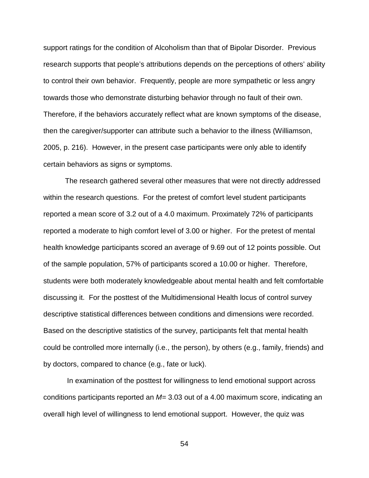support ratings for the condition of Alcoholism than that of Bipolar Disorder. Previous research supports that people's attributions depends on the perceptions of others' ability to control their own behavior. Frequently, people are more sympathetic or less angry towards those who demonstrate disturbing behavior through no fault of their own. Therefore, if the behaviors accurately reflect what are known symptoms of the disease, then the caregiver/supporter can attribute such a behavior to the illness (Williamson, 2005, p. 216). However, in the present case participants were only able to identify certain behaviors as signs or symptoms.

The research gathered several other measures that were not directly addressed within the research questions. For the pretest of comfort level student participants reported a mean score of 3.2 out of a 4.0 maximum. Proximately 72% of participants reported a moderate to high comfort level of 3.00 or higher. For the pretest of mental health knowledge participants scored an average of 9.69 out of 12 points possible. Out of the sample population, 57% of participants scored a 10.00 or higher. Therefore, students were both moderately knowledgeable about mental health and felt comfortable discussing it. For the posttest of the Multidimensional Health locus of control survey descriptive statistical differences between conditions and dimensions were recorded. Based on the descriptive statistics of the survey, participants felt that mental health could be controlled more internally (i.e., the person), by others (e.g., family, friends) and by doctors, compared to chance (e.g., fate or luck).

 In examination of the posttest for willingness to lend emotional support across conditions participants reported an  $M=3.03$  out of a 4.00 maximum score, indicating an overall high level of willingness to lend emotional support. However, the quiz was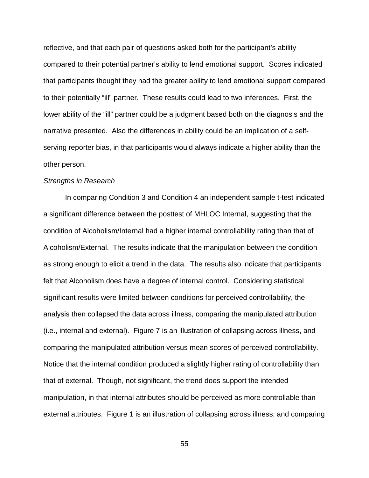reflective, and that each pair of questions asked both for the participant's ability compared to their potential partner's ability to lend emotional support. Scores indicated that participants thought they had the greater ability to lend emotional support compared to their potentially "ill" partner. These results could lead to two inferences. First, the lower ability of the "ill" partner could be a judgment based both on the diagnosis and the narrative presented. Also the differences in ability could be an implication of a selfserving reporter bias, in that participants would always indicate a higher ability than the other person.

### Strengths in Research

In comparing Condition 3 and Condition 4 an independent sample t-test indicated a significant difference between the posttest of MHLOC Internal, suggesting that the condition of Alcoholism/Internal had a higher internal controllability rating than that of Alcoholism/External. The results indicate that the manipulation between the condition as strong enough to elicit a trend in the data. The results also indicate that participants felt that Alcoholism does have a degree of internal control. Considering statistical significant results were limited between conditions for perceived controllability, the analysis then collapsed the data across illness, comparing the manipulated attribution (i.e., internal and external). Figure 7 is an illustration of collapsing across illness, and comparing the manipulated attribution versus mean scores of perceived controllability. Notice that the internal condition produced a slightly higher rating of controllability than that of external. Though, not significant, the trend does support the intended manipulation, in that internal attributes should be perceived as more controllable than external attributes. Figure 1 is an illustration of collapsing across illness, and comparing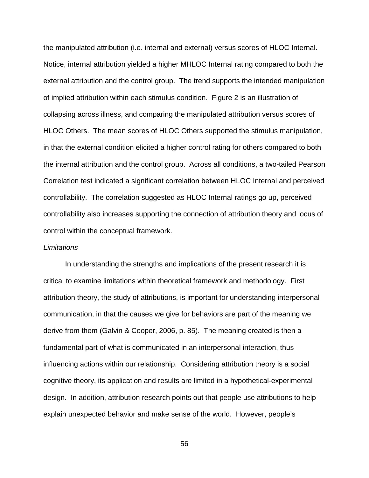the manipulated attribution (i.e. internal and external) versus scores of HLOC Internal. Notice, internal attribution yielded a higher MHLOC Internal rating compared to both the external attribution and the control group. The trend supports the intended manipulation of implied attribution within each stimulus condition. Figure 2 is an illustration of collapsing across illness, and comparing the manipulated attribution versus scores of HLOC Others. The mean scores of HLOC Others supported the stimulus manipulation, in that the external condition elicited a higher control rating for others compared to both the internal attribution and the control group. Across all conditions, a two-tailed Pearson Correlation test indicated a significant correlation between HLOC Internal and perceived controllability. The correlation suggested as HLOC Internal ratings go up, perceived controllability also increases supporting the connection of attribution theory and locus of control within the conceptual framework.

### **Limitations**

In understanding the strengths and implications of the present research it is critical to examine limitations within theoretical framework and methodology. First attribution theory, the study of attributions, is important for understanding interpersonal communication, in that the causes we give for behaviors are part of the meaning we derive from them (Galvin & Cooper, 2006, p. 85). The meaning created is then a fundamental part of what is communicated in an interpersonal interaction, thus influencing actions within our relationship. Considering attribution theory is a social cognitive theory, its application and results are limited in a hypothetical-experimental design. In addition, attribution research points out that people use attributions to help explain unexpected behavior and make sense of the world. However, people's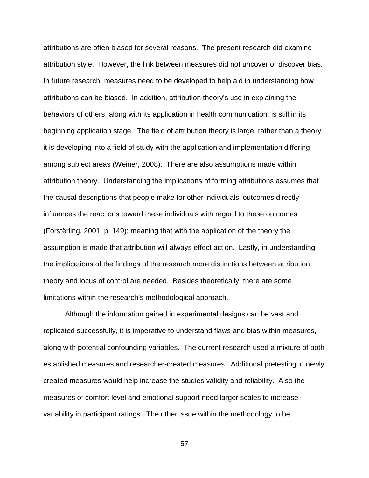attributions are often biased for several reasons. The present research did examine attribution style. However, the link between measures did not uncover or discover bias. In future research, measures need to be developed to help aid in understanding how attributions can be biased. In addition, attribution theory's use in explaining the behaviors of others, along with its application in health communication, is still in its beginning application stage. The field of attribution theory is large, rather than a theory it is developing into a field of study with the application and implementation differing among subject areas (Weiner, 2008). There are also assumptions made within attribution theory. Understanding the implications of forming attributions assumes that the causal descriptions that people make for other individuals' outcomes directly influences the reactions toward these individuals with regard to these outcomes (Forstërling, 2001, p. 149); meaning that with the application of the theory the assumption is made that attribution will always effect action. Lastly, in understanding the implications of the findings of the research more distinctions between attribution theory and locus of control are needed. Besides theoretically, there are some limitations within the research's methodological approach.

 Although the information gained in experimental designs can be vast and replicated successfully, it is imperative to understand flaws and bias within measures, along with potential confounding variables. The current research used a mixture of both established measures and researcher-created measures. Additional pretesting in newly created measures would help increase the studies validity and reliability. Also the measures of comfort level and emotional support need larger scales to increase variability in participant ratings. The other issue within the methodology to be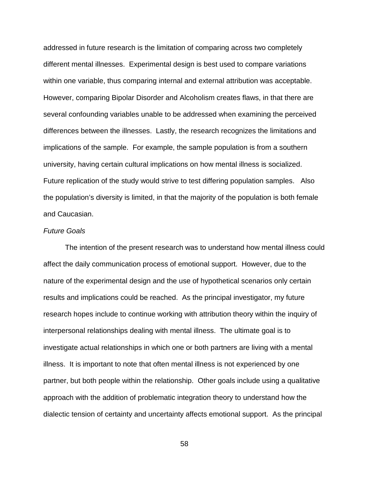addressed in future research is the limitation of comparing across two completely different mental illnesses. Experimental design is best used to compare variations within one variable, thus comparing internal and external attribution was acceptable. However, comparing Bipolar Disorder and Alcoholism creates flaws, in that there are several confounding variables unable to be addressed when examining the perceived differences between the illnesses. Lastly, the research recognizes the limitations and implications of the sample. For example, the sample population is from a southern university, having certain cultural implications on how mental illness is socialized. Future replication of the study would strive to test differing population samples. Also the population's diversity is limited, in that the majority of the population is both female and Caucasian.

### Future Goals

The intention of the present research was to understand how mental illness could affect the daily communication process of emotional support. However, due to the nature of the experimental design and the use of hypothetical scenarios only certain results and implications could be reached. As the principal investigator, my future research hopes include to continue working with attribution theory within the inquiry of interpersonal relationships dealing with mental illness. The ultimate goal is to investigate actual relationships in which one or both partners are living with a mental illness. It is important to note that often mental illness is not experienced by one partner, but both people within the relationship. Other goals include using a qualitative approach with the addition of problematic integration theory to understand how the dialectic tension of certainty and uncertainty affects emotional support. As the principal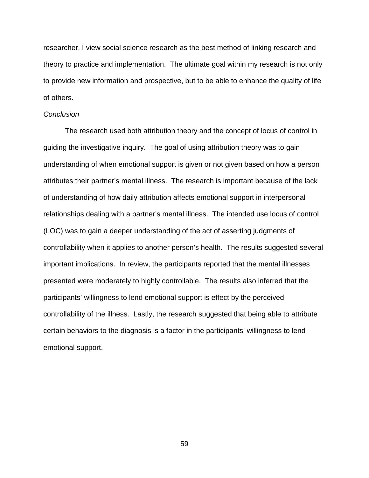researcher, I view social science research as the best method of linking research and theory to practice and implementation. The ultimate goal within my research is not only to provide new information and prospective, but to be able to enhance the quality of life of others.

### **Conclusion**

The research used both attribution theory and the concept of locus of control in guiding the investigative inquiry. The goal of using attribution theory was to gain understanding of when emotional support is given or not given based on how a person attributes their partner's mental illness. The research is important because of the lack of understanding of how daily attribution affects emotional support in interpersonal relationships dealing with a partner's mental illness. The intended use locus of control (LOC) was to gain a deeper understanding of the act of asserting judgments of controllability when it applies to another person's health. The results suggested several important implications. In review, the participants reported that the mental illnesses presented were moderately to highly controllable. The results also inferred that the participants' willingness to lend emotional support is effect by the perceived controllability of the illness. Lastly, the research suggested that being able to attribute certain behaviors to the diagnosis is a factor in the participants' willingness to lend emotional support.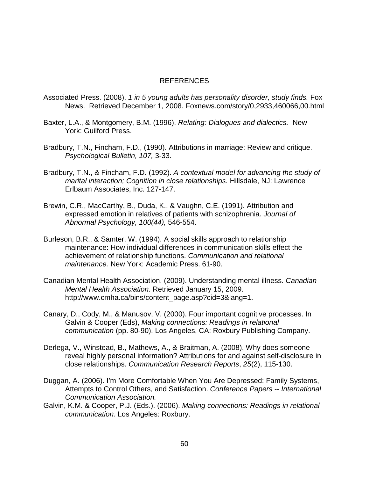## REFERENCES

- Associated Press. (2008). 1 in 5 young adults has personality disorder, study finds. Fox News. Retrieved December 1, 2008. Foxnews.com/story/0,2933,460066,00.html
- Baxter, L.A., & Montgomery, B.M. (1996). Relating: Dialogues and dialectics. New York: Guilford Press.
- Bradbury, T.N., Fincham, F.D., (1990). Attributions in marriage: Review and critique. Psychological Bulletin, 107, 3-33.
- Bradbury, T.N., & Fincham, F.D. (1992). A contextual model for advancing the study of marital interaction; Cognition in close relationships. Hillsdale, NJ: Lawrence Erlbaum Associates, Inc. 127-147.
- Brewin, C.R., MacCarthy, B., Duda, K., & Vaughn, C.E. (1991). Attribution and expressed emotion in relatives of patients with schizophrenia. Journal of Abnormal Psychology, 100(44), 546-554.
- Burleson, B.R., & Samter, W. (1994). A social skills approach to relationship maintenance: How individual differences in communication skills effect the achievement of relationship functions. Communication and relational maintenance. New York: Academic Press. 61-90.
- Canadian Mental Health Association. (2009). Understanding mental illness. Canadian Mental Health Association. Retrieved January 15, 2009. http://www.cmha.ca/bins/content\_page.asp?cid=3&lang=1.
- Canary, D., Cody, M., & Manusov, V. (2000). Four important cognitive processes. In Galvin & Cooper (Eds), Making connections: Readings in relational communication (pp. 80-90). Los Angeles, CA: Roxbury Publishing Company.
- Derlega, V., Winstead, B., Mathews, A., & Braitman, A. (2008). Why does someone reveal highly personal information? Attributions for and against self-disclosure in close relationships. Communication Research Reports, 25(2), 115-130.
- Duggan, A. (2006). I'm More Comfortable When You Are Depressed: Family Systems, Attempts to Control Others, and Satisfaction. Conference Papers -- International Communication Association.
- Galvin, K.M. & Cooper, P.J. (Eds.). (2006). Making connections: Readings in relational communication. Los Angeles: Roxbury.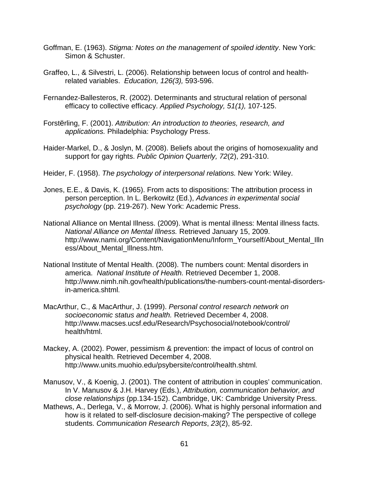- Goffman, E. (1963). Stigma: Notes on the management of spoiled identity. New York: Simon & Schuster.
- Graffeo, L., & Silvestri, L. (2006). Relationship between locus of control and health related variables. Education, 126(3), 593-596.
- Fernandez-Ballesteros, R. (2002). Determinants and structural relation of personal efficacy to collective efficacy. Applied Psychology, 51(1), 107-125.
- Forstërling, F. (2001). Attribution: An introduction to theories, research, and applications. Philadelphia: Psychology Press.
- Haider-Markel, D., & Joslyn, M. (2008). Beliefs about the origins of homosexuality and support for gay rights. Public Opinion Quarterly, 72(2), 291-310.
- Heider, F. (1958). The psychology of interpersonal relations. New York: Wiley.
- Jones, E.E., & Davis, K. (1965). From acts to dispositions: The attribution process in person perception. In L. Berkowitz (Ed.), Advances in experimental social psychology (pp. 219-267). New York: Academic Press.
- National Alliance on Mental Illness. (2009). What is mental illness: Mental illness facts. National Alliance on Mental Illness. Retrieved January 15, 2009. http://www.nami.org/Content/NavigationMenu/Inform\_Yourself/About\_Mental\_Illn ess/About\_Mental\_Illness.htm.
- National Institute of Mental Health. (2008). The numbers count: Mental disorders in america. National Institute of Health. Retrieved December 1, 2008. http://www.nimh.nih.gov/health/publications/the-numbers-count-mental-disordersin-america.shtml.
- MacArthur, C., & MacArthur, J. (1999). Personal control research network on socioeconomic status and health. Retrieved December 4, 2008. http://www.macses.ucsf.edu/Research/Psychosocial/notebook/control/ health/html.
- Mackey, A. (2002). Power, pessimism & prevention: the impact of locus of control on physical health. Retrieved December 4, 2008. http://www.units.muohio.edu/psybersite/control/health.shtml.

Manusov, V., & Koenig, J. (2001). The content of attribution in couples' communication. In V. Manusov & J.H. Harvey (Eds.), Attribution, communication behavior, and close relationships (pp.134-152). Cambridge, UK: Cambridge University Press. Mathews, A., Derlega, V., & Morrow, J. (2006). What is highly personal information and

 how is it related to self-disclosure decision-making? The perspective of college students. Communication Research Reports, 23(2), 85-92.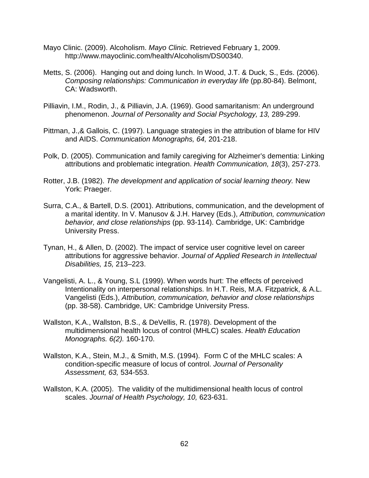- Mayo Clinic. (2009). Alcoholism. Mayo Clinic. Retrieved February 1, 2009. http://www.mayoclinic.com/health/Alcoholism/DS00340.
- Metts, S. (2006). Hanging out and doing lunch. In Wood, J.T. & Duck, S., Eds. (2006). Composing relationships: Communication in everyday life (pp.80-84). Belmont, CA: Wadsworth.
- Pilliavin, I.M., Rodin, J., & Pilliavin, J.A. (1969). Good samaritanism: An underground phenomenon. Journal of Personality and Social Psychology, 13, 289-299.
- Pittman, J.,& Gallois, C. (1997). Language strategies in the attribution of blame for HIV and AIDS. Communication Monographs, 64, 201-218.
- Polk, D. (2005). Communication and family caregiving for Alzheimer's dementia: Linking attributions and problematic integration. Health Communication, 18(3), 257-273.
- Rotter, J.B. (1982). The development and application of social learning theory. New York: Praeger.
- Surra, C.A., & Bartell, D.S. (2001). Attributions, communication, and the development of a marital identity. In V. Manusov & J.H. Harvey (Eds.), Attribution, communication behavior, and close relationships (pp. 93-114). Cambridge, UK: Cambridge University Press.
- Tynan, H., & Allen, D. (2002). The impact of service user cognitive level on career attributions for aggressive behavior. Journal of Applied Research in Intellectual Disabilities, 15, 213–223.
- Vangelisti, A. L., & Young, S.L (1999). When words hurt: The effects of perceived Intentionality on interpersonal relationships. In H.T. Reis, M.A. Fitzpatrick, & A.L. Vangelisti (Eds.), Attribution, communication, behavior and close relationships (pp. 38-58). Cambridge, UK: Cambridge University Press.
- Wallston, K.A., Wallston, B.S., & DeVellis, R. (1978). Development of the multidimensional health locus of control (MHLC) scales. Health Education Monographs. 6(2). 160-170.
- Wallston, K.A., Stein, M.J., & Smith, M.S. (1994). Form C of the MHLC scales: A condition-specific measure of locus of control. Journal of Personality Assessment, 63, 534-553.
- Wallston, K.A. (2005). The validity of the multidimensional health locus of control scales. Journal of Health Psychology, 10, 623-631.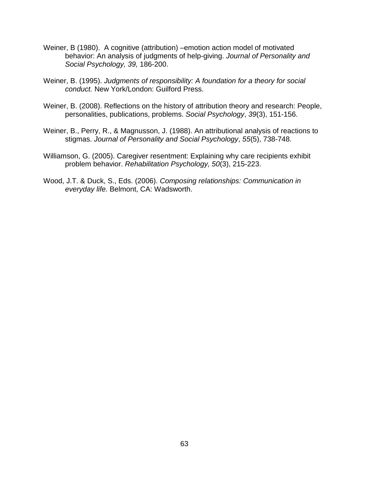- Weiner, B (1980). A cognitive (attribution) –emotion action model of motivated behavior: An analysis of judgments of help-giving. Journal of Personality and Social Psychology, 39, 186-200.
- Weiner, B. (1995). Judgments of responsibility: A foundation for a theory for social conduct. New York/London: Guilford Press.
- Weiner, B. (2008). Reflections on the history of attribution theory and research: People, personalities, publications, problems. Social Psychology, 39(3), 151-156.
- Weiner, B., Perry, R., & Magnusson, J. (1988). An attributional analysis of reactions to stigmas. Journal of Personality and Social Psychology, 55(5), 738-748.
- Williamson, G. (2005). Caregiver resentment: Explaining why care recipients exhibit problem behavior. Rehabilitation Psychology, 50(3), 215-223.
- Wood, J.T. & Duck, S., Eds. (2006). Composing relationships: Communication in everyday life. Belmont, CA: Wadsworth.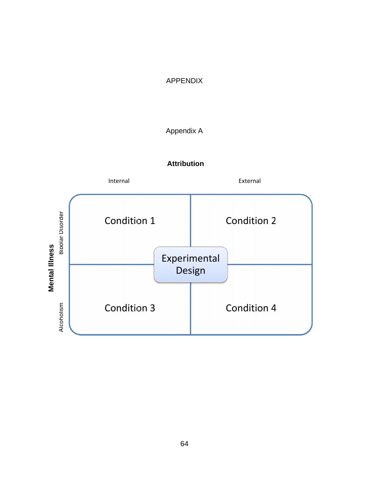# APPENDIX

# Appendix A

# **Attribution**

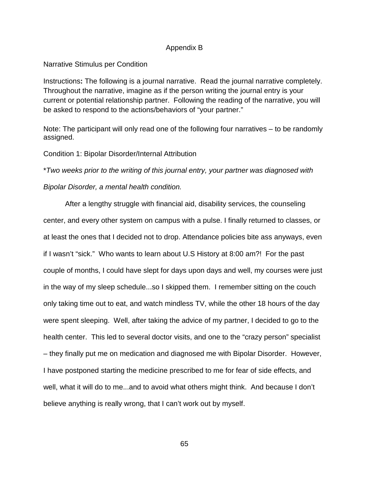### Appendix B

# Narrative Stimulus per Condition

Instructions**:** The following is a journal narrative. Read the journal narrative completely. Throughout the narrative, imagine as if the person writing the journal entry is your current or potential relationship partner. Following the reading of the narrative, you will be asked to respond to the actions/behaviors of "your partner."

Note: The participant will only read one of the following four narratives – to be randomly assigned.

#### Condition 1: Bipolar Disorder/Internal Attribution

\*Two weeks prior to the writing of this journal entry, your partner was diagnosed with Bipolar Disorder, a mental health condition.

 After a lengthy struggle with financial aid, disability services, the counseling center, and every other system on campus with a pulse. I finally returned to classes, or at least the ones that I decided not to drop. Attendance policies bite ass anyways, even if I wasn't "sick." Who wants to learn about U.S History at 8:00 am?! For the past couple of months, I could have slept for days upon days and well, my courses were just in the way of my sleep schedule...so I skipped them. I remember sitting on the couch only taking time out to eat, and watch mindless TV, while the other 18 hours of the day were spent sleeping. Well, after taking the advice of my partner, I decided to go to the health center. This led to several doctor visits, and one to the "crazy person" specialist – they finally put me on medication and diagnosed me with Bipolar Disorder. However, I have postponed starting the medicine prescribed to me for fear of side effects, and well, what it will do to me...and to avoid what others might think. And because I don't believe anything is really wrong, that I can't work out by myself.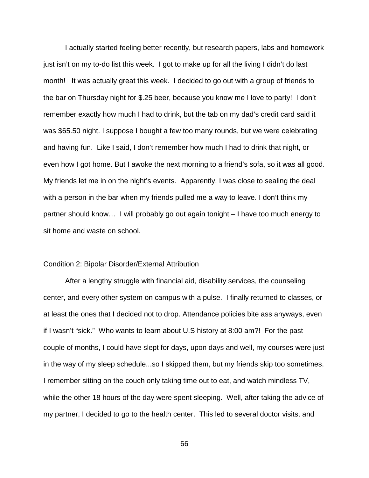I actually started feeling better recently, but research papers, labs and homework just isn't on my to-do list this week. I got to make up for all the living I didn't do last month! It was actually great this week. I decided to go out with a group of friends to the bar on Thursday night for \$.25 beer, because you know me I love to party! I don't remember exactly how much I had to drink, but the tab on my dad's credit card said it was \$65.50 night. I suppose I bought a few too many rounds, but we were celebrating and having fun. Like I said, I don't remember how much I had to drink that night, or even how I got home. But I awoke the next morning to a friend's sofa, so it was all good. My friends let me in on the night's events. Apparently, I was close to sealing the deal with a person in the bar when my friends pulled me a way to leave. I don't think my partner should know… I will probably go out again tonight – I have too much energy to sit home and waste on school.

#### Condition 2: Bipolar Disorder/External Attribution

 After a lengthy struggle with financial aid, disability services, the counseling center, and every other system on campus with a pulse. I finally returned to classes, or at least the ones that I decided not to drop. Attendance policies bite ass anyways, even if I wasn't "sick." Who wants to learn about U.S history at 8:00 am?! For the past couple of months, I could have slept for days, upon days and well, my courses were just in the way of my sleep schedule...so I skipped them, but my friends skip too sometimes. I remember sitting on the couch only taking time out to eat, and watch mindless TV, while the other 18 hours of the day were spent sleeping. Well, after taking the advice of my partner, I decided to go to the health center. This led to several doctor visits, and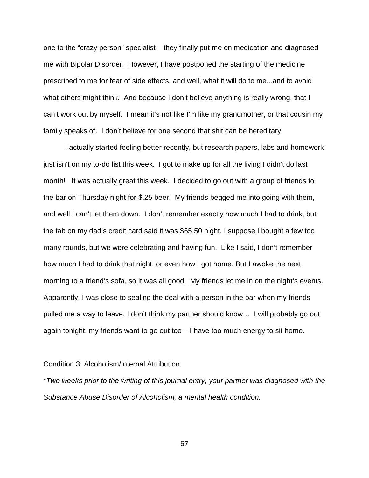one to the "crazy person" specialist – they finally put me on medication and diagnosed me with Bipolar Disorder. However, I have postponed the starting of the medicine prescribed to me for fear of side effects, and well, what it will do to me...and to avoid what others might think. And because I don't believe anything is really wrong, that I can't work out by myself. I mean it's not like I'm like my grandmother, or that cousin my family speaks of. I don't believe for one second that shit can be hereditary.

 I actually started feeling better recently, but research papers, labs and homework just isn't on my to-do list this week. I got to make up for all the living I didn't do last month! It was actually great this week. I decided to go out with a group of friends to the bar on Thursday night for \$.25 beer. My friends begged me into going with them, and well I can't let them down. I don't remember exactly how much I had to drink, but the tab on my dad's credit card said it was \$65.50 night. I suppose I bought a few too many rounds, but we were celebrating and having fun. Like I said, I don't remember how much I had to drink that night, or even how I got home. But I awoke the next morning to a friend's sofa, so it was all good. My friends let me in on the night's events. Apparently, I was close to sealing the deal with a person in the bar when my friends pulled me a way to leave. I don't think my partner should know… I will probably go out again tonight, my friends want to go out too – I have too much energy to sit home.

#### Condition 3: Alcoholism/Internal Attribution

\*Two weeks prior to the writing of this journal entry, your partner was diagnosed with the Substance Abuse Disorder of Alcoholism, a mental health condition.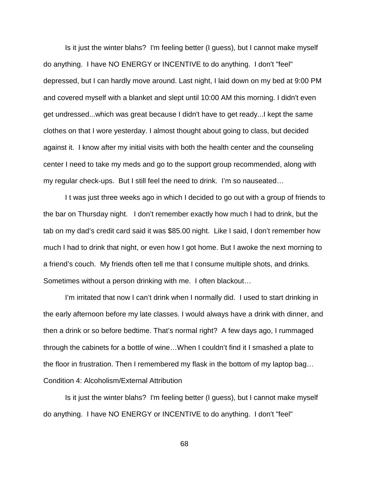Is it just the winter blahs? I'm feeling better (I guess), but I cannot make myself do anything. I have NO ENERGY or INCENTIVE to do anything. I don't "feel" depressed, but I can hardly move around. Last night, I laid down on my bed at 9:00 PM and covered myself with a blanket and slept until 10:00 AM this morning. I didn't even get undressed...which was great because I didn't have to get ready...I kept the same clothes on that I wore yesterday. I almost thought about going to class, but decided against it. I know after my initial visits with both the health center and the counseling center I need to take my meds and go to the support group recommended, along with my regular check-ups. But I still feel the need to drink. I'm so nauseated…

 I t was just three weeks ago in which I decided to go out with a group of friends to the bar on Thursday night. I don't remember exactly how much I had to drink, but the tab on my dad's credit card said it was \$85.00 night. Like I said, I don't remember how much I had to drink that night, or even how I got home. But I awoke the next morning to a friend's couch. My friends often tell me that I consume multiple shots, and drinks. Sometimes without a person drinking with me. I often blackout…

 I'm irritated that now I can't drink when I normally did. I used to start drinking in the early afternoon before my late classes. I would always have a drink with dinner, and then a drink or so before bedtime. That's normal right? A few days ago, I rummaged through the cabinets for a bottle of wine…When I couldn't find it I smashed a plate to the floor in frustration. Then I remembered my flask in the bottom of my laptop bag… Condition 4: Alcoholism/External Attribution

 Is it just the winter blahs? I'm feeling better (I guess), but I cannot make myself do anything. I have NO ENERGY or INCENTIVE to do anything. I don't "feel"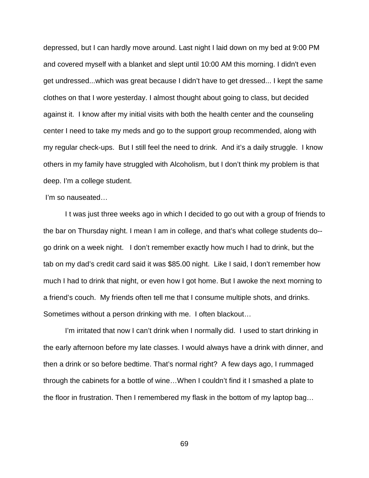depressed, but I can hardly move around. Last night I laid down on my bed at 9:00 PM and covered myself with a blanket and slept until 10:00 AM this morning. I didn't even get undressed...which was great because I didn't have to get dressed... I kept the same clothes on that I wore yesterday. I almost thought about going to class, but decided against it. I know after my initial visits with both the health center and the counseling center I need to take my meds and go to the support group recommended, along with my regular check-ups. But I still feel the need to drink. And it's a daily struggle. I know others in my family have struggled with Alcoholism, but I don't think my problem is that deep. I'm a college student.

#### I'm so nauseated…

 I t was just three weeks ago in which I decided to go out with a group of friends to the bar on Thursday night. I mean I am in college, and that's what college students do- go drink on a week night. I don't remember exactly how much I had to drink, but the tab on my dad's credit card said it was \$85.00 night. Like I said, I don't remember how much I had to drink that night, or even how I got home. But I awoke the next morning to a friend's couch. My friends often tell me that I consume multiple shots, and drinks. Sometimes without a person drinking with me. I often blackout…

 I'm irritated that now I can't drink when I normally did. I used to start drinking in the early afternoon before my late classes. I would always have a drink with dinner, and then a drink or so before bedtime. That's normal right? A few days ago, I rummaged through the cabinets for a bottle of wine…When I couldn't find it I smashed a plate to the floor in frustration. Then I remembered my flask in the bottom of my laptop bag…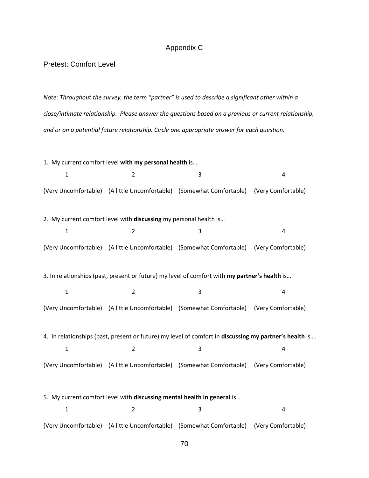#### Appendix C

Pretest: Comfort Level

Note: Throughout the survey, the term "partner" is used to describe a significant other within a close/intimate relationship. Please answer the questions based on a previous or current relationship, and or on a potential future relationship. Circle one appropriate answer for each question.

1. My current comfort level with my personal health is... 1 2 3 4 (Very Uncomfortable) (A little Uncomfortable) (Somewhat Comfortable) (Very Comfortable) 2. My current comfort level with discussing my personal health is... 1 2 3 4 (Very Uncomfortable) (A little Uncomfortable) (Somewhat Comfortable) (Very Comfortable) 3. In relationships (past, present or future) my level of comfort with my partner's health is... 1 2 3 4 (Very Uncomfortable) (A little Uncomfortable) (Somewhat Comfortable) (Very Comfortable) 4. In relationships (past, present or future) my level of comfort in discussing my partner's health is.... 1 2 3 4 (Very Uncomfortable) (A little Uncomfortable) (Somewhat Comfortable) (Very Comfortable) 5. My current comfort level with discussing mental health in general is... 1 2 3 4 (Very Uncomfortable) (A little Uncomfortable) (Somewhat Comfortable) (Very Comfortable)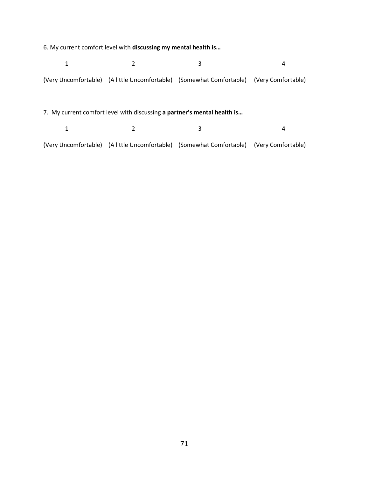6. My current comfort level with discussing my mental health is…

|                                                                          |                          | 3                                                                                       | 4                  |  |  |  |  |  |
|--------------------------------------------------------------------------|--------------------------|-----------------------------------------------------------------------------------------|--------------------|--|--|--|--|--|
|                                                                          |                          | (Very Uncomfortable) (A little Uncomfortable) (Somewhat Comfortable) (Very Comfortable) |                    |  |  |  |  |  |
| 7. My current comfort level with discussing a partner's mental health is |                          |                                                                                         |                    |  |  |  |  |  |
| 1                                                                        |                          | 3                                                                                       | 4                  |  |  |  |  |  |
| (Very Uncomfortable)                                                     | (A little Uncomfortable) | (Somewhat Comfortable)                                                                  | (Very Comfortable) |  |  |  |  |  |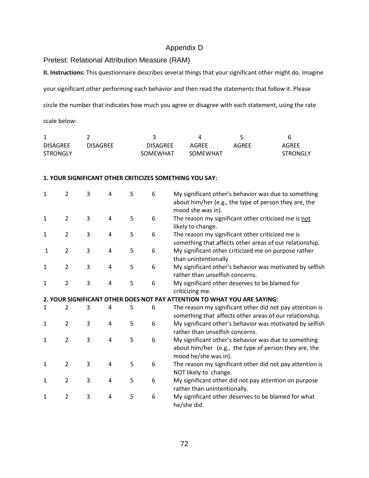# Appendix D

Pretest: Relational Attribution Measure (RAM)

II. Instructions: This questionnaire describes several things that your significant other might do. Imagine

your significant other performing each behavior and then read the statements that follow it. Please

circle the number that indicates how much you agree or disagree with each statement, using the rate

scale below:

| <b>DISAGREE</b> | DISAGREE | <b>DISAGRFF</b> | AGRFF    | AGREE | AGREE           |
|-----------------|----------|-----------------|----------|-------|-----------------|
| <b>STRONGLY</b> |          | SOMEWHAT        | SOMEWHAT |       | <b>STRONGLY</b> |

#### 1. YOUR SIGNIFICANT OTHER CRITICIZES SOMETHING YOU SAY:

| $\mathbf{1}$ | $\overline{2}$ | 3 | 4 | 5 | 6 | My significant other's behavior was due to something<br>about him/her (e.g., the type of person they are, the<br>mood she was in).    |
|--------------|----------------|---|---|---|---|---------------------------------------------------------------------------------------------------------------------------------------|
| 1            | $\overline{2}$ | 3 | 4 | 5 | 6 | The reason my significant other criticized me is not<br>likely to change.                                                             |
| 1            | $\overline{2}$ | 3 | 4 | 5 | 6 | The reason my significant other criticized me is<br>something that affects other areas of our relationship.                           |
| 1            | $\overline{2}$ | 3 | 4 | 5 | 6 | My significant other criticized me on purpose rather<br>than unintentionally                                                          |
| 1            | $\overline{2}$ | 3 | 4 | 5 | 6 | My significant other's behavior was motivated by selfish<br>rather than unselfish concerns.                                           |
| 1            | $\overline{2}$ | 3 | 4 | 5 | 6 | My significant other deserves to be blamed for<br>criticizing me.                                                                     |
|              |                |   |   |   |   | 2. YOUR SIGNIFICANT OTHER DOES NOT PAY ATTENTION TO WHAT YOU ARE SAYING:                                                              |
| 1            | $\overline{2}$ | 3 | 4 | 5 | 6 | The reason my significant other did not pay attention is<br>something that affects other areas of our relationship.                   |
| $\mathbf{1}$ | $\overline{2}$ | 3 | 4 | 5 | 6 | My significant other's behavior was motivated by selfish<br>rather than unselfish concerns.                                           |
| 1            | $\overline{2}$ | 3 | 4 | 5 | 6 | My significant other's behavior was due to something<br>about him/her (e.g., the type of person they are, the<br>mood he/she was in). |
| 1            | $\overline{2}$ | 3 | 4 | 5 | 6 | The reason my significant other did not pay attention is<br>NOT likely to change.                                                     |
| 1            | $\overline{2}$ | 3 | 4 | 5 | 6 | My significant other did not pay attention on purpose<br>rather than unintentionally.                                                 |
| $\mathbf{1}$ | $\overline{2}$ | 3 | 4 | 5 | 6 | My significant other deserves to be blamed for what<br>he/she did.                                                                    |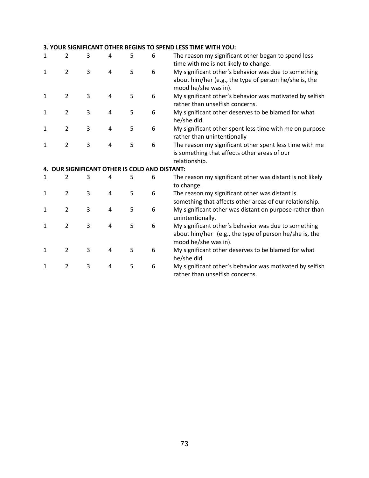### 3. YOUR SIGNIFICANT OTHER BEGINS TO SPEND LESS TIME WITH YOU:

| 1 | $\overline{2}$ | 3 | 4                                             | 5 | 6 | The reason my significant other began to spend less<br>time with me is not likely to change.                                           |
|---|----------------|---|-----------------------------------------------|---|---|----------------------------------------------------------------------------------------------------------------------------------------|
| 1 | $\overline{2}$ | 3 | 4                                             | 5 | 6 | My significant other's behavior was due to something<br>about him/her (e.g., the type of person he/she is, the<br>mood he/she was in). |
| 1 | $\overline{2}$ | 3 | 4                                             | 5 | 6 | My significant other's behavior was motivated by selfish<br>rather than unselfish concerns.                                            |
| 1 | $\overline{2}$ | 3 | 4                                             | 5 | 6 | My significant other deserves to be blamed for what<br>he/she did.                                                                     |
| 1 | $\overline{2}$ | 3 | 4                                             | 5 | 6 | My significant other spent less time with me on purpose<br>rather than unintentionally                                                 |
| 1 | $\overline{2}$ | 3 | 4                                             | 5 | 6 | The reason my significant other spent less time with me<br>is something that affects other areas of our<br>relationship.               |
|   |                |   | 4. OUR SIGNIFICANT OTHER IS COLD AND DISTANT: |   |   |                                                                                                                                        |
| 1 | 2              | 3 | 4                                             | 5 | 6 | The reason my significant other was distant is not likely<br>to change.                                                                |
| 1 | $\overline{2}$ | 3 | 4                                             | 5 | 6 | The reason my significant other was distant is<br>something that affects other areas of our relationship.                              |
| 1 | $\overline{2}$ | 3 | 4                                             | 5 | 6 | My significant other was distant on purpose rather than<br>unintentionally.                                                            |
| 1 | $\overline{2}$ | 3 | 4                                             | 5 | 6 | My significant other's behavior was due to something                                                                                   |
|   |                |   |                                               |   |   | about him/her (e.g., the type of person he/she is, the<br>mood he/she was in).                                                         |
| 1 | $\overline{2}$ | 3 | 4                                             | 5 | 6 | My significant other deserves to be blamed for what<br>he/she did.                                                                     |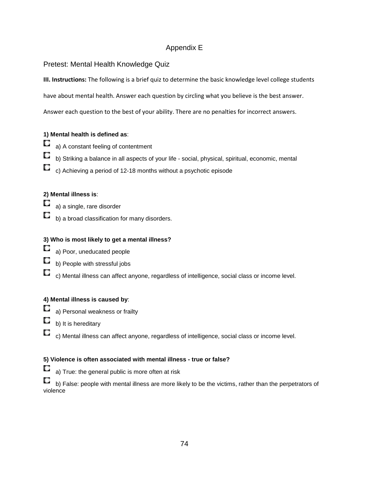# Appendix E

Pretest: Mental Health Knowledge Quiz

III. Instructions: The following is a brief quiz to determine the basic knowledge level college students

have about mental health. Answer each question by circling what you believe is the best answer.

Answer each question to the best of your ability. There are no penalties for incorrect answers.

# **1) Mental health is defined as**:

- Q a) A constant feeling of contentment
- О b) Striking a balance in all aspects of your life - social, physical, spiritual, economic, mental
- O c) Achieving a period of 12-18 months without a psychotic episode

# **2) Mental illness is**:

- О a) a single, rare disorder
- O b) a broad classification for many disorders.

# **3) Who is most likely to get a mental illness?**

- O a) Poor, uneducated people
- O b) People with stressful jobs
- $\Box$  c) Mental illness can affect anyone, regardless of intelligence, social class or income level.

### **4) Mental illness is caused by**:

- a) Personal weakness or frailty
- O b) It is hereditary
- U, c) Mental illness can affect anyone, regardless of intelligence, social class or income level.

# **5) Violence is often associated with mental illness - true or false?**

a) True: the general public is more often at risk

 $\Box$  b) False: people with mental illness are more likely to be the victims, rather than the perpetrators of violence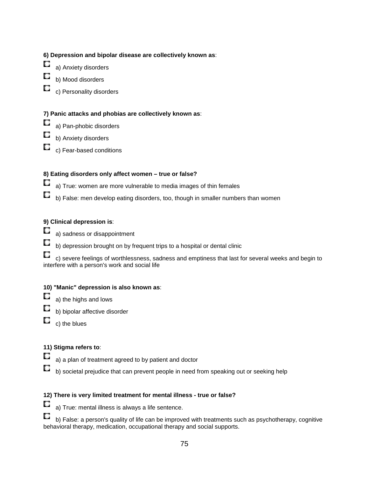### **6) Depression and bipolar disease are collectively known as**:

- О a) Anxiety disorders
- О b) Mood disorders
- С c) Personality disorders

# **7) Panic attacks and phobias are collectively known as**:

- a) Pan-phobic disorders
- b) Anxiety disorders
- O c) Fear-based conditions

### **8) Eating disorders only affect women – true or false?**

- Q a) True: women are more vulnerable to media images of thin females
- Q b) False: men develop eating disorders, too, though in smaller numbers than women

### **9) Clinical depression is**:

- О a) sadness or disappointment
- O b) depression brought on by frequent trips to a hospital or dental clinic
- c) severe feelings of worthlessness, sadness and emptiness that last for several weeks and begin to interfere with a person's work and social life

### **10) "Manic" depression is also known as**:

- a) the highs and lows
- b) bipolar affective disorder
- O c) the blues

#### **11) Stigma refers to**:

- О a) a plan of treatment agreed to by patient and doctor
- Q b) societal prejudice that can prevent people in need from speaking out or seeking help

# **12) There is very limited treatment for mental illness - true or false?**

a) True: mental illness is always a life sentence.

b) False: a person's quality of life can be improved with treatments such as psychotherapy, cognitive behavioral therapy, medication, occupational therapy and social supports.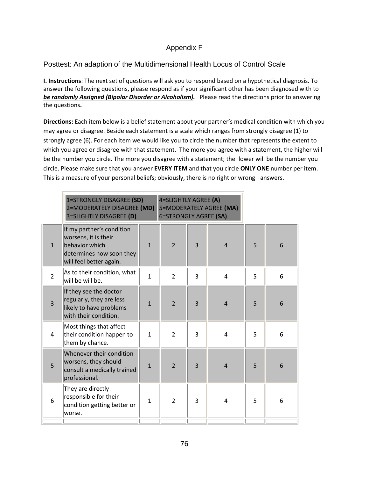# Appendix F

# Posttest: An adaption of the Multidimensional Health Locus of Control Scale

I. Instructions: The next set of questions will ask you to respond based on a hypothetical diagnosis. To answer the following questions, please respond as if your significant other has been diagnosed with to be randomly Assigned (Bipolar Disorder or Alcoholism). Please read the directions prior to answering the questions.

 Directions: Each item below is a belief statement about your partner's medical condition with which you may agree or disagree. Beside each statement is a scale which ranges from strongly disagree (1) to strongly agree (6). For each item we would like you to circle the number that represents the extent to which you agree or disagree with that statement. The more you agree with a statement, the higher will be the number you circle. The more you disagree with a statement; the lower will be the number you circle. Please make sure that you answer EVERY ITEM and that you circle ONLY ONE number per item. This is a measure of your personal beliefs; obviously, there is no right or wrong answers.

|                | 1=STRONGLY DISAGREE (SD)<br>4=SLIGHTLY AGREE (A)<br>2=MODERATELY DISAGREE (MD)<br>5=MODERATELY AGREE (MA)<br><b>6=STRONGLY AGREE (SA)</b><br>3=SLIGHTLY DISAGREE (D) |                |                |                |                |   |   |
|----------------|----------------------------------------------------------------------------------------------------------------------------------------------------------------------|----------------|----------------|----------------|----------------|---|---|
| $\mathbf{1}$   | If my partner's condition<br>worsens, it is their<br>behavior which<br>determines how soon they<br>will feel better again.                                           | $\mathbf{1}$   | $\overline{2}$ | $\overline{3}$ | $\overline{4}$ | 5 | 6 |
| $\overline{2}$ | As to their condition, what<br>will be will be.                                                                                                                      | $\mathbf{1}$   | $\overline{2}$ | 3              | $\overline{4}$ | 5 | 6 |
| 3              | If they see the doctor<br>regularly, they are less<br>likely to have problems<br>with their condition.                                                               | $\mathbf{1}$   | $\overline{2}$ | $\overline{3}$ | $\overline{4}$ | 5 | 6 |
| 4              | Most things that affect<br>their condition happen to<br>them by chance.                                                                                              | $\mathbf{1}$   | $\overline{2}$ | 3              | $\overline{4}$ | 5 | 6 |
| 5              | Whenever their condition<br>worsens, they should<br>consult a medically trained<br>professional.                                                                     | $\overline{1}$ | $\overline{2}$ | $\overline{3}$ | $\overline{4}$ | 5 | 6 |
| 6              | They are directly<br>responsible for their<br>condition getting better or<br>lworse.                                                                                 | $\mathbf{1}$   | $\overline{2}$ | 3              | 4              | 5 | 6 |
|                |                                                                                                                                                                      |                |                |                |                |   |   |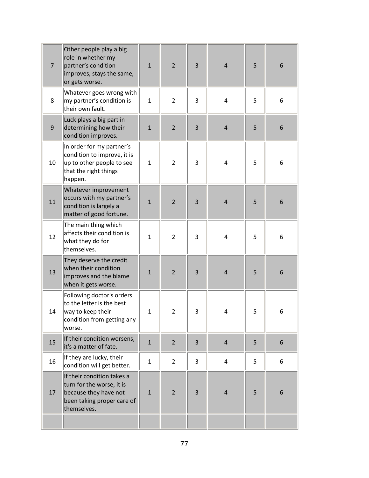| $\overline{7}$ | Other people play a big<br>role in whether my<br>partner's condition<br>improves, stays the same,<br>or gets worse.           | $\mathbf{1}$ | $\overline{2}$ | 3 | $\overline{4}$ | 5 | 6 |
|----------------|-------------------------------------------------------------------------------------------------------------------------------|--------------|----------------|---|----------------|---|---|
| 8              | Whatever goes wrong with<br>my partner's condition is<br>their own fault.                                                     | $\mathbf{1}$ | $\overline{2}$ | 3 | 4              | 5 | 6 |
| 9              | Luck plays a big part in<br>determining how their<br>condition improves.                                                      | $\mathbf{1}$ | $\overline{2}$ | 3 | $\overline{4}$ | 5 | 6 |
| 10             | In order for my partner's<br>condition to improve, it is<br>up to other people to see<br>that the right things<br>happen.     | $\mathbf{1}$ | $\overline{2}$ | 3 | 4              | 5 | 6 |
| 11             | Whatever improvement<br>occurs with my partner's<br>condition is largely a<br>matter of good fortune.                         | $\mathbf{1}$ | $\overline{2}$ | 3 | $\overline{4}$ | 5 | 6 |
| 12             | The main thing which<br>affects their condition is<br>what they do for<br>themselves.                                         | $\mathbf{1}$ | $\overline{2}$ | 3 | 4              | 5 | 6 |
| 13             | They deserve the credit<br>when their condition<br>improves and the blame<br>when it gets worse.                              | $\mathbf{1}$ | $\overline{2}$ | 3 | $\overline{4}$ | 5 | 6 |
| 14             | Following doctor's orders<br>$ $ to the letter is the best<br>way to keep their<br>condition from getting any<br>worse.       | 1            | $\overline{2}$ | 3 | 4              | 5 | 6 |
| 15             | If their condition worsens,<br>it's a matter of fate.                                                                         | $\mathbf{1}$ | $\overline{2}$ | 3 | $\overline{4}$ | 5 | 6 |
| 16             | If they are lucky, their<br>condition will get better.                                                                        | $\mathbf{1}$ | $\overline{2}$ | 3 | 4              | 5 | 6 |
| 17             | If their condition takes a<br>turn for the worse, it is<br>because they have not<br>been taking proper care of<br>themselves. | $\mathbf{1}$ | $\overline{2}$ | 3 | $\overline{4}$ | 5 | 6 |
|                |                                                                                                                               |              |                |   |                |   |   |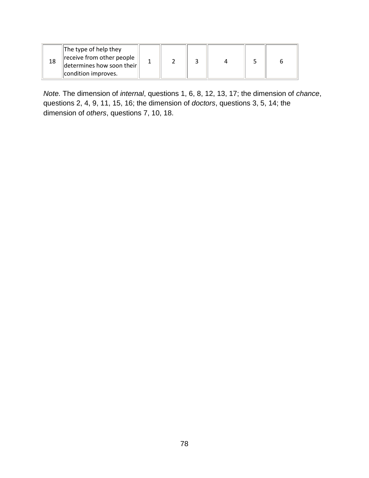| The type of help they<br>receive from other people<br>$\left\Vert$ determines how soon their $\right\Vert$<br>condition improves. |  |  |  |  |  |  |
|-----------------------------------------------------------------------------------------------------------------------------------|--|--|--|--|--|--|
|-----------------------------------------------------------------------------------------------------------------------------------|--|--|--|--|--|--|

Note. The dimension of internal, questions 1, 6, 8, 12, 13, 17; the dimension of chance, questions 2, 4, 9, 11, 15, 16; the dimension of doctors, questions 3, 5, 14; the dimension of others, questions 7, 10, 18.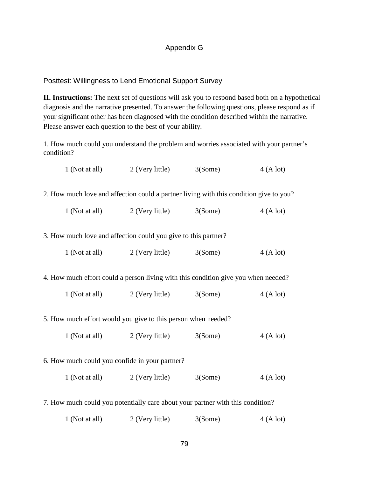# Appendix G

# Posttest: Willingness to Lend Emotional Support Survey

**II. Instructions:** The next set of questions will ask you to respond based both on a hypothetical diagnosis and the narrative presented. To answer the following questions, please respond as if your significant other has been diagnosed with the condition described within the narrative. Please answer each question to the best of your ability.

1. How much could you understand the problem and worries associated with your partner's condition?

|                                                                                        | 1 (Not at all)                                                                     | 2 (Very little)                                                                | 3(Some) | 4(Alot)  |  |  |  |  |  |  |
|----------------------------------------------------------------------------------------|------------------------------------------------------------------------------------|--------------------------------------------------------------------------------|---------|----------|--|--|--|--|--|--|
| 2. How much love and affection could a partner living with this condition give to you? |                                                                                    |                                                                                |         |          |  |  |  |  |  |  |
|                                                                                        | 1 (Not at all)                                                                     | 2 (Very little)                                                                | 3(Some) | 4(Alot)  |  |  |  |  |  |  |
| 3. How much love and affection could you give to this partner?                         |                                                                                    |                                                                                |         |          |  |  |  |  |  |  |
|                                                                                        | 1 (Not at all)                                                                     | $2$ (Very little) $3(Some)$                                                    |         | 4(A lot) |  |  |  |  |  |  |
|                                                                                        | 4. How much effort could a person living with this condition give you when needed? |                                                                                |         |          |  |  |  |  |  |  |
|                                                                                        | 1 (Not at all)                                                                     | 2 (Very little)                                                                | 3(Some) | 4(Alot)  |  |  |  |  |  |  |
|                                                                                        |                                                                                    | 5. How much effort would you give to this person when needed?                  |         |          |  |  |  |  |  |  |
|                                                                                        | 1 (Not at all)                                                                     | $2$ (Very little) $3(Some)$                                                    |         | 4(A lot) |  |  |  |  |  |  |
|                                                                                        | 6. How much could you confide in your partner?                                     |                                                                                |         |          |  |  |  |  |  |  |
|                                                                                        |                                                                                    | 1 (Not at all) 2 (Very little)                                                 | 3(Some) | 4(Alot)  |  |  |  |  |  |  |
|                                                                                        |                                                                                    | 7. How much could you potentially care about your partner with this condition? |         |          |  |  |  |  |  |  |
|                                                                                        | 1 (Not at all)                                                                     | 2 (Very little)                                                                | 3(Some) | 4(A lot) |  |  |  |  |  |  |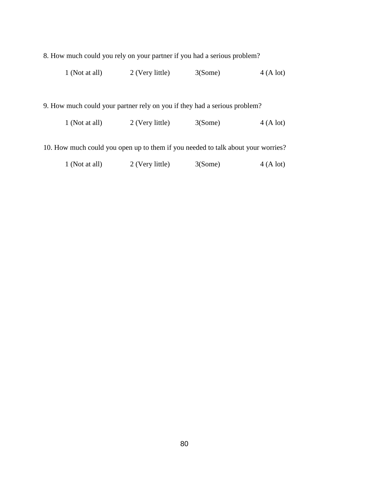8. How much could you rely on your partner if you had a serious problem?

| 1 (Not at all) | 2 (Very little) | 3(Some) | 4(A lot) |
|----------------|-----------------|---------|----------|
|                |                 |         |          |

9. How much could your partner rely on you if they had a serious problem?

| $1$ (Not at all) | 2 (Very little) | 3(Some) | 4(A lot) |
|------------------|-----------------|---------|----------|
|------------------|-----------------|---------|----------|

10. How much could you open up to them if you needed to talk about your worries?

| 2 (Very little)<br>$1$ (Not at all) | 3(Some) | 4(A lot) |
|-------------------------------------|---------|----------|
|-------------------------------------|---------|----------|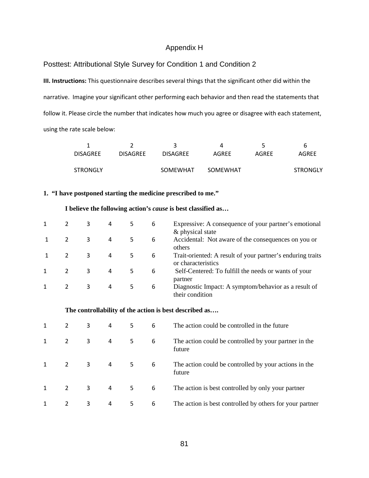### Appendix H

#### Posttest: Attributional Style Survey for Condition 1 and Condition 2

III. Instructions: This questionnaire describes several things that the significant other did within the narrative. Imagine your significant other performing each behavior and then read the statements that follow it. Please circle the number that indicates how much you agree or disagree with each statement, using the rate scale below:

|                 |                 |                 |          | ∽     | b               |
|-----------------|-----------------|-----------------|----------|-------|-----------------|
| <b>DISAGREE</b> | <b>DISAGREE</b> | <b>DISAGREE</b> | AGREE    | AGREE | <b>AGREE</b>    |
|                 |                 |                 |          |       |                 |
| <b>STRONGLY</b> |                 | SOMEWHAT        | SOMEWHAT |       | <b>STRONGLY</b> |

#### **1. "I have postponed starting the medicine prescribed to me."**

#### **I believe the following action's** *cause* **is best classified as…**

|   | 3 | 4 |    | 6 | Expressive: A consequence of your partner's emotional<br>& physical state        |
|---|---|---|----|---|----------------------------------------------------------------------------------|
|   | 3 | 4 | 5. | 6 | Accidental: Not aware of the consequences on you or<br>others                    |
|   | 3 | 4 | 5. | 6 | Trait-oriented: A result of your partner's enduring traits<br>or characteristics |
| 2 | 3 | 4 | 5. | 6 | Self-Centered: To fulfill the needs or wants of your<br>partner                  |
| 2 | 3 | 4 | 5  | 6 | Diagnostic Impact: A symptom/behavior as a result of<br>their condition          |

| 2 | 3 | 4 | 5. | 6 | The action could be controlled in the future                    |
|---|---|---|----|---|-----------------------------------------------------------------|
| 2 | 3 | 4 | 5  | 6 | The action could be controlled by your partner in the<br>future |
| 2 | 3 | 4 | 5  | 6 | The action could be controlled by your actions in the<br>future |
| 2 | 3 | 4 | 5. | 6 | The action is best controlled by only your partner              |
| 2 | 3 | 4 | 5. | 6 | The action is best controlled by others for your partner        |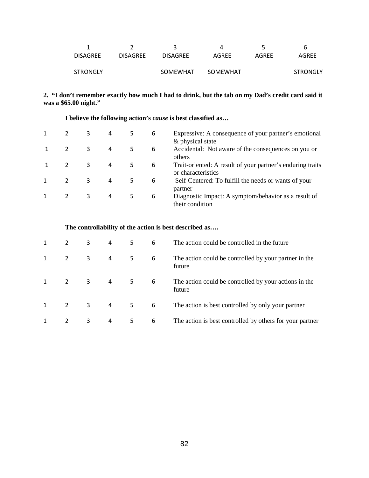|                 |                 |                 | Д        | ∽     | b               |
|-----------------|-----------------|-----------------|----------|-------|-----------------|
| <b>DISAGREE</b> | <b>DISAGREE</b> | <b>DISAGREE</b> | AGREE    | AGRFF | AGREE           |
|                 |                 |                 |          |       |                 |
| <b>STRONGLY</b> |                 | SOMEWHAT        | SOMEWHAT |       | <b>STRONGLY</b> |
|                 |                 |                 |          |       |                 |

### **2. "I don't remember exactly how much I had to drink, but the tab on my Dad's credit card said it was a \$65.00 night."**

| 2 | 3 | 4 | 5. | 6 | Expressive: A consequence of your partner's emotional<br>& physical state        |
|---|---|---|----|---|----------------------------------------------------------------------------------|
| 2 | 3 | 4 |    | 6 | Accidental: Not aware of the consequences on you or<br>others                    |
| 2 | 3 | 4 | 5. | 6 | Trait-oriented: A result of your partner's enduring traits<br>or characteristics |
| 2 | 3 | 4 | 5. | 6 | Self-Centered: To fulfill the needs or wants of your<br>partner                  |
| 2 | 3 | 4 |    | 6 | Diagnostic Impact: A symptom/behavior as a result of<br>their condition          |

### **I believe the following action's** *cause* **is best classified as…**

| 2              | 3 | 4 | 5  | 6 | The action could be controlled in the future                    |
|----------------|---|---|----|---|-----------------------------------------------------------------|
| 2              | 3 | 4 | 5  | 6 | The action could be controlled by your partner in the<br>future |
| $\overline{2}$ | 3 | 4 | 5. | 6 | The action could be controlled by your actions in the<br>future |
| 2              | 3 | 4 | 5. | 6 | The action is best controlled by only your partner              |
| 2              | 3 | 4 | 5  | 6 | The action is best controlled by others for your partner        |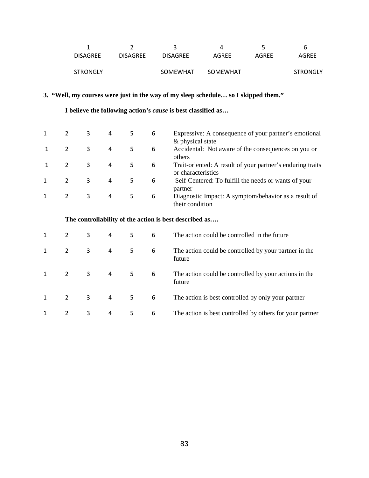|                 |                 |                 |          |       | b               |
|-----------------|-----------------|-----------------|----------|-------|-----------------|
| <b>DISAGRFF</b> | <b>DISAGRFF</b> | <b>DISAGREE</b> | AGREE    | AGRFF | AGREE           |
|                 |                 |                 |          |       |                 |
| <b>STRONGLY</b> |                 | SOMEWHAT        | SOMEWHAT |       | <b>STRONGLY</b> |

# **3. "Well, my courses were just in the way of my sleep schedule… so I skipped them."**

 **I believe the following action's** *cause* **is best classified as…**

|   | 3 | 4 |    | 6 | Expressive: A consequence of your partner's emotional      |
|---|---|---|----|---|------------------------------------------------------------|
|   |   |   |    |   | & physical state                                           |
|   | 3 | 4 | 5. | 6 | Accidental: Not aware of the consequences on you or        |
|   |   |   |    |   | others                                                     |
|   | 3 | 4 | 5  | 6 | Trait-oriented: A result of your partner's enduring traits |
|   |   |   |    |   | or characteristics                                         |
| 2 | 3 | 4 | 5. | 6 | Self-Centered: To fulfill the needs or wants of your       |
|   |   |   |    |   | partner                                                    |
|   | 3 | 4 | 5  | 6 | Diagnostic Impact: A symptom/behavior as a result of       |
|   |   |   |    |   | their condition                                            |

| 2 | 3 | 4 | 5  | 6 | The action could be controlled in the future                    |
|---|---|---|----|---|-----------------------------------------------------------------|
| 2 | 3 | 4 | 5. | 6 | The action could be controlled by your partner in the<br>future |
| 2 | 3 | 4 | 5  | 6 | The action could be controlled by your actions in the<br>future |
| 2 | 3 | 4 | 5. | 6 | The action is best controlled by only your partner              |
| 2 | 3 | 4 | 5. | 6 | The action is best controlled by others for your partner        |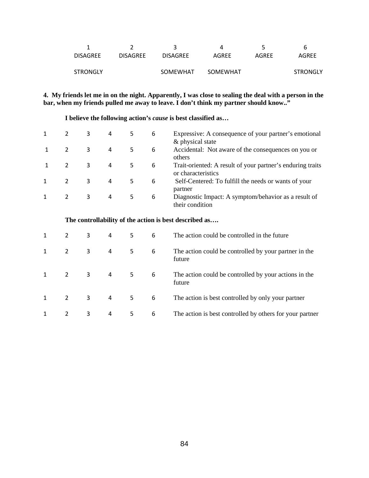|                 |                 |                 | 4        |       | b               |
|-----------------|-----------------|-----------------|----------|-------|-----------------|
| <b>DISAGREE</b> | <b>DISAGREE</b> | <b>DISAGREE</b> | AGREE    | AGREE | AGREE           |
|                 |                 |                 |          |       |                 |
| <b>STRONGLY</b> |                 | SOMEWHAT        | SOMEWHAT |       | <b>STRONGLY</b> |
|                 |                 |                 |          |       |                 |

#### **4. My friends let me in on the night. Apparently, I was close to sealing the deal with a person in the bar, when my friends pulled me away to leave. I don't think my partner should know.."**

**I believe the following action's** *cause* **is best classified as…**

|   | 3 | 4 | 5  | 6 | Expressive: A consequence of your partner's emotional                   |
|---|---|---|----|---|-------------------------------------------------------------------------|
| 2 | 3 | 4 | 5. | 6 | & physical state<br>Accidental: Not aware of the consequences on you or |
|   | 3 | 4 | 5  | 6 | others<br>Trait-oriented: A result of your partner's enduring traits    |
|   |   |   |    |   | or characteristics                                                      |
| 2 | 3 | 4 | 5  | 6 | Self-Centered: To fulfill the needs or wants of your<br>partner         |
| 2 | 3 | 4 | 5. | 6 | Diagnostic Impact: A symptom/behavior as a result of<br>their condition |

|   | 3 | 4 | 5  | 6 | The action could be controlled in the future                    |
|---|---|---|----|---|-----------------------------------------------------------------|
| 2 | 3 | 4 | 5. | 6 | The action could be controlled by your partner in the<br>future |
| 2 | 3 | 4 | 5. | 6 | The action could be controlled by your actions in the<br>future |
| 2 | 3 | 4 | 5  | 6 | The action is best controlled by only your partner              |
| 2 | 3 | 4 | 5. | 6 | The action is best controlled by others for your partner        |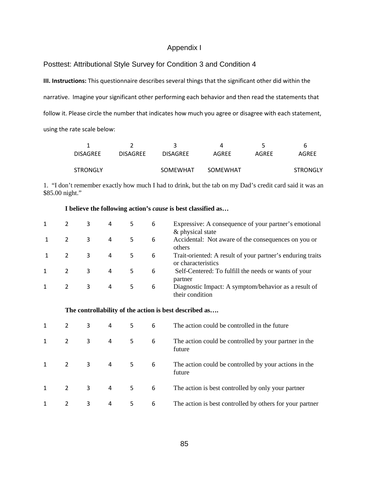#### Appendix I

Posttest: Attributional Style Survey for Condition 3 and Condition 4

III. Instructions: This questionnaire describes several things that the significant other did within the narrative. Imagine your significant other performing each behavior and then read the statements that follow it. Please circle the number that indicates how much you agree or disagree with each statement, using the rate scale below:

|                 |                 |                 |          |       | b               |
|-----------------|-----------------|-----------------|----------|-------|-----------------|
| <b>DISAGREE</b> | <b>DISAGREE</b> | <b>DISAGREE</b> | AGREE    | AGRFF | AGREE           |
|                 |                 |                 |          |       |                 |
| <b>STRONGLY</b> |                 | SOMEWHAT        | SOMEWHAT |       | <b>STRONGLY</b> |

1. "I don't remember exactly how much I had to drink, but the tab on my Dad's credit card said it was an \$85.00 night."

### **I believe the following action's** *cause* **is best classified as…**

|   | 3 | 4 |    | 6 | Expressive: A consequence of your partner's emotional<br>& physical state        |
|---|---|---|----|---|----------------------------------------------------------------------------------|
|   | 3 | 4 |    | 6 | Accidental: Not aware of the consequences on you or<br>others                    |
| 2 | 3 | 4 | 5. | 6 | Trait-oriented: A result of your partner's enduring traits<br>or characteristics |
| 2 | 3 | 4 | 5. | 6 | Self-Centered: To fulfill the needs or wants of your<br>partner                  |
| 2 | 3 | 4 | 5. | 6 | Diagnostic Impact: A symptom/behavior as a result of<br>their condition          |

| 2 | 3 | 4 | 5. | 6 | The action could be controlled in the future                    |
|---|---|---|----|---|-----------------------------------------------------------------|
| 2 | 3 | 4 | 5. | 6 | The action could be controlled by your partner in the<br>future |
| 2 | 3 | 4 | 5. | 6 | The action could be controlled by your actions in the<br>future |
| 2 | 3 | 4 | 5. | 6 | The action is best controlled by only your partner              |
| 2 | 3 | 4 | 5. | 6 | The action is best controlled by others for your partner        |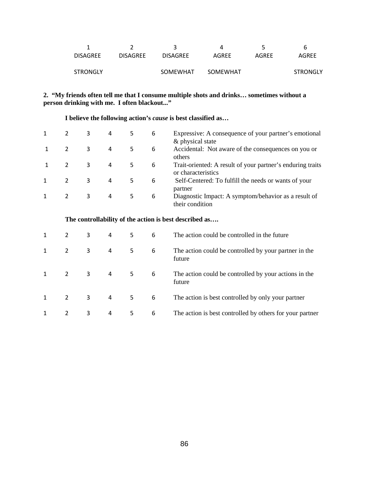| b               |
|-----------------|
| AGREE<br>AGRFF  |
|                 |
| <b>STRONGLY</b> |
|                 |

### **2. "My friends often tell me that I consume multiple shots and drinks… sometimes without a person drinking with me. I often blackout..."**

 **I believe the following action's** *cause* **is best classified as…**

|   | 3 | 4 | 5. | 6 | Expressive: A consequence of your partner's emotional<br>& physical state        |
|---|---|---|----|---|----------------------------------------------------------------------------------|
|   | 3 | 4 | 5  | 6 | Accidental: Not aware of the consequences on you or<br>others                    |
|   | 3 | 4 | 5  | 6 | Trait-oriented: A result of your partner's enduring traits<br>or characteristics |
| 2 | 3 | 4 | 5  | 6 | Self-Centered: To fulfill the needs or wants of your<br>partner                  |
|   | 3 | 4 | 5  | 6 | Diagnostic Impact: A symptom/behavior as a result of<br>their condition          |

| 2              | 3 | 4 | 5  | 6 | The action could be controlled in the future                    |
|----------------|---|---|----|---|-----------------------------------------------------------------|
| $\overline{2}$ | 3 | 4 | 5. | 6 | The action could be controlled by your partner in the<br>future |
| 2              | 3 | 4 | 5. | 6 | The action could be controlled by your actions in the<br>future |
| 2              | 3 | 4 | 5. | 6 | The action is best controlled by only your partner              |
| 2              | 3 | 4 | 5. | 6 | The action is best controlled by others for your partner        |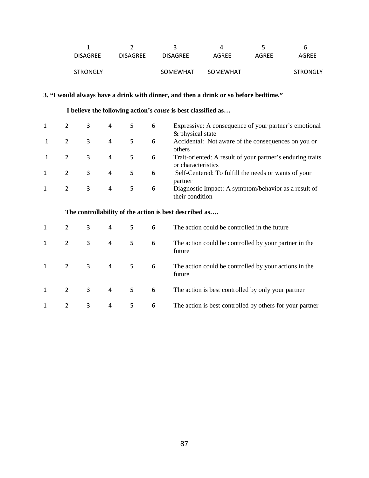|                 |                 |                 |          |       | b               |
|-----------------|-----------------|-----------------|----------|-------|-----------------|
| <b>DISAGREE</b> | <b>DISAGRFF</b> | <b>DISAGREE</b> | AGREE    | AGREE | AGREE           |
|                 |                 |                 |          |       |                 |
| <b>STRONGLY</b> |                 | SOMEWHAT        | SOMEWHAT |       | <b>STRONGLY</b> |

# **3. "I would always have a drink with dinner, and then a drink or so before bedtime."**

 **I believe the following action's** *cause* **is best classified as…**

|               | 3 | 4 |    | 6 | Expressive: A consequence of your partner's emotional<br>& physical state        |
|---------------|---|---|----|---|----------------------------------------------------------------------------------|
| 2             | 3 | 4 |    | 6 | Accidental: Not aware of the consequences on you or<br>others                    |
| $\mathcal{P}$ | 3 | 4 | 5. | 6 | Trait-oriented: A result of your partner's enduring traits<br>or characteristics |
| 2             | 3 | 4 | 5. | 6 | Self-Centered: To fulfill the needs or wants of your<br>partner                  |
| 2             | 3 | 4 |    | 6 | Diagnostic Impact: A symptom/behavior as a result of<br>their condition          |

| 2 | 3 | 4 | 5. | 6 | The action could be controlled in the future                    |
|---|---|---|----|---|-----------------------------------------------------------------|
| 2 | 3 | 4 | 5. | 6 | The action could be controlled by your partner in the<br>future |
| 2 | 3 | 4 | 5  | 6 | The action could be controlled by your actions in the<br>future |
| 2 | 3 | 4 | 5. | 6 | The action is best controlled by only your partner              |
| 2 | 3 | 4 | 5. | 6 | The action is best controlled by others for your partner        |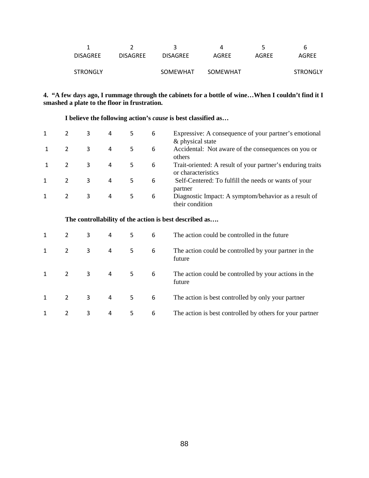|                 |                 |                 |          |       | b               |
|-----------------|-----------------|-----------------|----------|-------|-----------------|
| <b>DISAGREE</b> | <b>DISAGREE</b> | <b>DISAGREE</b> | AGREE    | AGRFF | AGREE           |
|                 |                 |                 |          |       |                 |
| <b>STRONGLY</b> |                 | SOMEWHAT        | SOMEWHAT |       | <b>STRONGLY</b> |

### **4. "A few days ago, I rummage through the cabinets for a bottle of wine…When I couldn't find it I smashed a plate to the floor in frustration.**

 **I believe the following action's** *cause* **is best classified as…**

|   | 3 | 4 | 5  | 6 | Expressive: A consequence of your partner's emotional<br>& physical state        |
|---|---|---|----|---|----------------------------------------------------------------------------------|
|   | 3 | 4 | 5. | 6 | Accidental: Not aware of the consequences on you or<br>others                    |
| 2 | 3 | 4 | 5. | 6 | Trait-oriented: A result of your partner's enduring traits<br>or characteristics |
| 2 | 3 | 4 | 5  | 6 | Self-Centered: To fulfill the needs or wants of your<br>partner                  |
| 2 | 3 | 4 | 5  | 6 | Diagnostic Impact: A symptom/behavior as a result of<br>their condition          |

|                | 3 | 4 | 5  | 6 | The action could be controlled in the future                    |
|----------------|---|---|----|---|-----------------------------------------------------------------|
| $\overline{2}$ | 3 | 4 | 5. | 6 | The action could be controlled by your partner in the<br>future |
| 2              | 3 | 4 | 5  | 6 | The action could be controlled by your actions in the<br>future |
| 2              | 3 | 4 | 5. | 6 | The action is best controlled by only your partner              |
| 2              | 3 | 4 | 5. | 6 | The action is best controlled by others for your partner        |